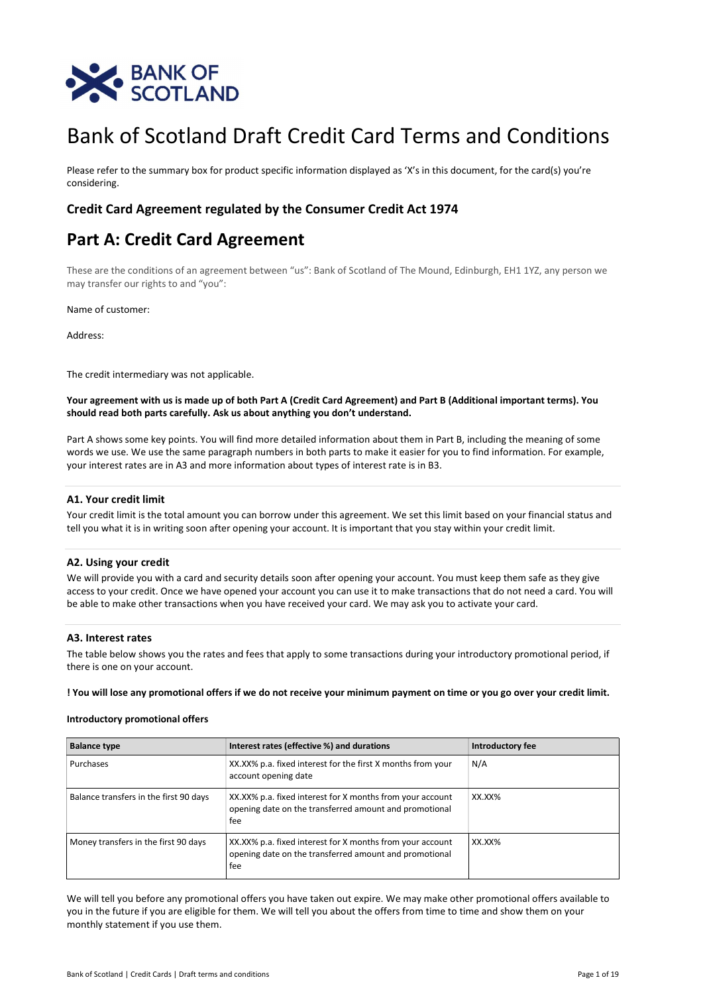

# Bank of Scotland Draft Credit Card Terms and Conditions

Please refer to the summary box for product specific information displayed as 'X's in this document, for the card(s) you're considering.

## Credit Card Agreement regulated by the Consumer Credit Act 1974

# Part A: Credit Card Agreement

These are the conditions of an agreement between "us": Bank of Scotland of The Mound, Edinburgh, EH1 1YZ, any person we may transfer our rights to and "you":

Name of customer:

Address:

The credit intermediary was not applicable.

Your agreement with us is made up of both Part A (Credit Card Agreement) and Part B (Additional important terms). You should read both parts carefully. Ask us about anything you don't understand.

Part A shows some key points. You will find more detailed information about them in Part B, including the meaning of some words we use. We use the same paragraph numbers in both parts to make it easier for you to find information. For example, your interest rates are in A3 and more information about types of interest rate is in B3.

## A1. Your credit limit

Your credit limit is the total amount you can borrow under this agreement. We set this limit based on your financial status and tell you what it is in writing soon after opening your account. It is important that you stay within your credit limit.

## A2. Using your credit

We will provide you with a card and security details soon after opening your account. You must keep them safe as they give access to your credit. Once we have opened your account you can use it to make transactions that do not need a card. You will be able to make other transactions when you have received your card. We may ask you to activate your card.

## A3. Interest rates

The table below shows you the rates and fees that apply to some transactions during your introductory promotional period, if there is one on your account.

! You will lose any promotional offers if we do not receive your minimum payment on time or you go over your credit limit.

## Introductory promotional offers

| <b>Balance type</b>                    | Interest rates (effective %) and durations                                                                                 | Introductory fee |
|----------------------------------------|----------------------------------------------------------------------------------------------------------------------------|------------------|
| Purchases                              | XX.XX% p.a. fixed interest for the first X months from your<br>account opening date                                        | N/A              |
| Balance transfers in the first 90 days | XX.XX% p.a. fixed interest for X months from your account<br>opening date on the transferred amount and promotional<br>fee | XX.XX%           |
| Money transfers in the first 90 days   | XX.XX% p.a. fixed interest for X months from your account<br>opening date on the transferred amount and promotional<br>fee | XX.XX%           |

We will tell you before any promotional offers you have taken out expire. We may make other promotional offers available to you in the future if you are eligible for them. We will tell you about the offers from time to time and show them on your monthly statement if you use them.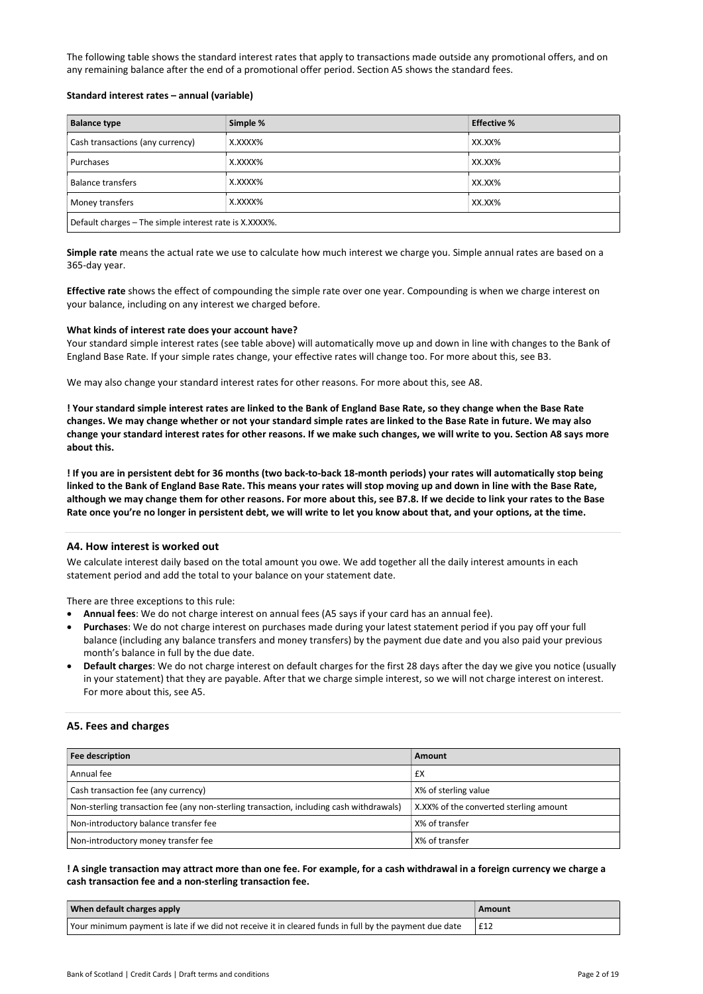The following table shows the standard interest rates that apply to transactions made outside any promotional offers, and on any remaining balance after the end of a promotional offer period. Section A5 shows the standard fees.

## Standard interest rates – annual (variable)

| <b>Balance type</b>                                    | Simple % | <b>Effective %</b> |
|--------------------------------------------------------|----------|--------------------|
| Cash transactions (any currency)                       | X.XXXX%  | XX.XX%             |
| Purchases                                              | X.XXXX%  | XX.XX%             |
| Balance transfers                                      | X.XXXX%  | XX.XX%             |
| X.XXXX%<br>XX.XX%<br>Money transfers                   |          |                    |
| Default charges - The simple interest rate is X.XXXX%. |          |                    |

Simple rate means the actual rate we use to calculate how much interest we charge you. Simple annual rates are based on a 365-day year.

Effective rate shows the effect of compounding the simple rate over one year. Compounding is when we charge interest on your balance, including on any interest we charged before.

#### What kinds of interest rate does your account have?

Your standard simple interest rates (see table above) will automatically move up and down in line with changes to the Bank of England Base Rate. If your simple rates change, your effective rates will change too. For more about this, see B3.

We may also change your standard interest rates for other reasons. For more about this, see A8.

! Your standard simple interest rates are linked to the Bank of England Base Rate, so they change when the Base Rate changes. We may change whether or not your standard simple rates are linked to the Base Rate in future. We may also change your standard interest rates for other reasons. If we make such changes, we will write to you. Section A8 says more about this.

! If you are in persistent debt for 36 months (two back-to-back 18-month periods) your rates will automatically stop being linked to the Bank of England Base Rate. This means your rates will stop moving up and down in line with the Base Rate, although we may change them for other reasons. For more about this, see B7.8. If we decide to link your rates to the Base Rate once you're no longer in persistent debt, we will write to let you know about that, and your options, at the time.

#### A4. How interest is worked out

We calculate interest daily based on the total amount you owe. We add together all the daily interest amounts in each statement period and add the total to your balance on your statement date.

There are three exceptions to this rule:

- Annual fees: We do not charge interest on annual fees (A5 says if your card has an annual fee).
- Purchases: We do not charge interest on purchases made during your latest statement period if you pay off your full balance (including any balance transfers and money transfers) by the payment due date and you also paid your previous month's balance in full by the due date.
- Default charges: We do not charge interest on default charges for the first 28 days after the day we give you notice (usually in your statement) that they are payable. After that we charge simple interest, so we will not charge interest on interest. For more about this, see A5.

## A5. Fees and charges

| Fee description                                                                         | Amount                                 |
|-----------------------------------------------------------------------------------------|----------------------------------------|
| Annual fee                                                                              | £X                                     |
| Cash transaction fee (any currency)                                                     | X% of sterling value                   |
| Non-sterling transaction fee (any non-sterling transaction, including cash withdrawals) | X.XX% of the converted sterling amount |
| Non-introductory balance transfer fee                                                   | X% of transfer                         |
| Non-introductory money transfer fee                                                     | X% of transfer                         |

## ! A single transaction may attract more than one fee. For example, for a cash withdrawal in a foreign currency we charge a cash transaction fee and a non-sterling transaction fee.

| When default charges apply                                                                             | Amount |
|--------------------------------------------------------------------------------------------------------|--------|
| Your minimum payment is late if we did not receive it in cleared funds in full by the payment due date | E12    |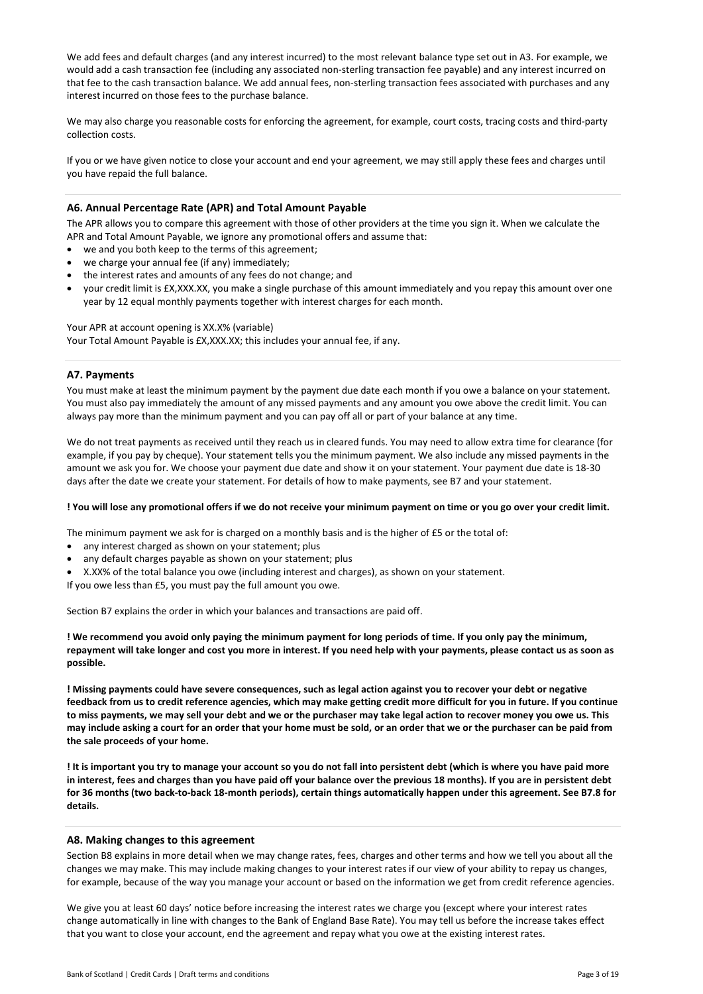We add fees and default charges (and any interest incurred) to the most relevant balance type set out in A3. For example, we would add a cash transaction fee (including any associated non-sterling transaction fee payable) and any interest incurred on that fee to the cash transaction balance. We add annual fees, non-sterling transaction fees associated with purchases and any interest incurred on those fees to the purchase balance.

We may also charge you reasonable costs for enforcing the agreement, for example, court costs, tracing costs and third-party collection costs.

If you or we have given notice to close your account and end your agreement, we may still apply these fees and charges until you have repaid the full balance.

## A6. Annual Percentage Rate (APR) and Total Amount Payable

The APR allows you to compare this agreement with those of other providers at the time you sign it. When we calculate the APR and Total Amount Payable, we ignore any promotional offers and assume that:

- we and you both keep to the terms of this agreement;
- we charge your annual fee (if any) immediately;
- the interest rates and amounts of any fees do not change; and
- your credit limit is £X,XXX.XX, you make a single purchase of this amount immediately and you repay this amount over one year by 12 equal monthly payments together with interest charges for each month.

Your APR at account opening is XX.X% (variable) Your Total Amount Payable is £X,XXX.XX; this includes your annual fee, if any.

## A7. Payments

You must make at least the minimum payment by the payment due date each month if you owe a balance on your statement. You must also pay immediately the amount of any missed payments and any amount you owe above the credit limit. You can always pay more than the minimum payment and you can pay off all or part of your balance at any time.

We do not treat payments as received until they reach us in cleared funds. You may need to allow extra time for clearance (for example, if you pay by cheque). Your statement tells you the minimum payment. We also include any missed payments in the amount we ask you for. We choose your payment due date and show it on your statement. Your payment due date is 18-30 days after the date we create your statement. For details of how to make payments, see B7 and your statement.

#### ! You will lose any promotional offers if we do not receive your minimum payment on time or you go over your credit limit.

The minimum payment we ask for is charged on a monthly basis and is the higher of £5 or the total of:

- any interest charged as shown on your statement; plus
- any default charges payable as shown on your statement; plus
- X.XX% of the total balance you owe (including interest and charges), as shown on your statement.

If you owe less than £5, you must pay the full amount you owe.

Section B7 explains the order in which your balances and transactions are paid off.

! We recommend you avoid only paying the minimum payment for long periods of time. If you only pay the minimum, repayment will take longer and cost you more in interest. If you need help with your payments, please contact us as soon as possible.

! Missing payments could have severe consequences, such as legal action against you to recover your debt or negative feedback from us to credit reference agencies, which may make getting credit more difficult for you in future. If you continue to miss payments, we may sell your debt and we or the purchaser may take legal action to recover money you owe us. This may include asking a court for an order that your home must be sold, or an order that we or the purchaser can be paid from the sale proceeds of your home.

! It is important you try to manage your account so you do not fall into persistent debt (which is where you have paid more in interest, fees and charges than you have paid off your balance over the previous 18 months). If you are in persistent debt for 36 months (two back-to-back 18-month periods), certain things automatically happen under this agreement. See B7.8 for details.

#### A8. Making changes to this agreement

Section B8 explains in more detail when we may change rates, fees, charges and other terms and how we tell you about all the changes we may make. This may include making changes to your interest rates if our view of your ability to repay us changes, for example, because of the way you manage your account or based on the information we get from credit reference agencies.

We give you at least 60 days' notice before increasing the interest rates we charge you (except where your interest rates change automatically in line with changes to the Bank of England Base Rate). You may tell us before the increase takes effect that you want to close your account, end the agreement and repay what you owe at the existing interest rates.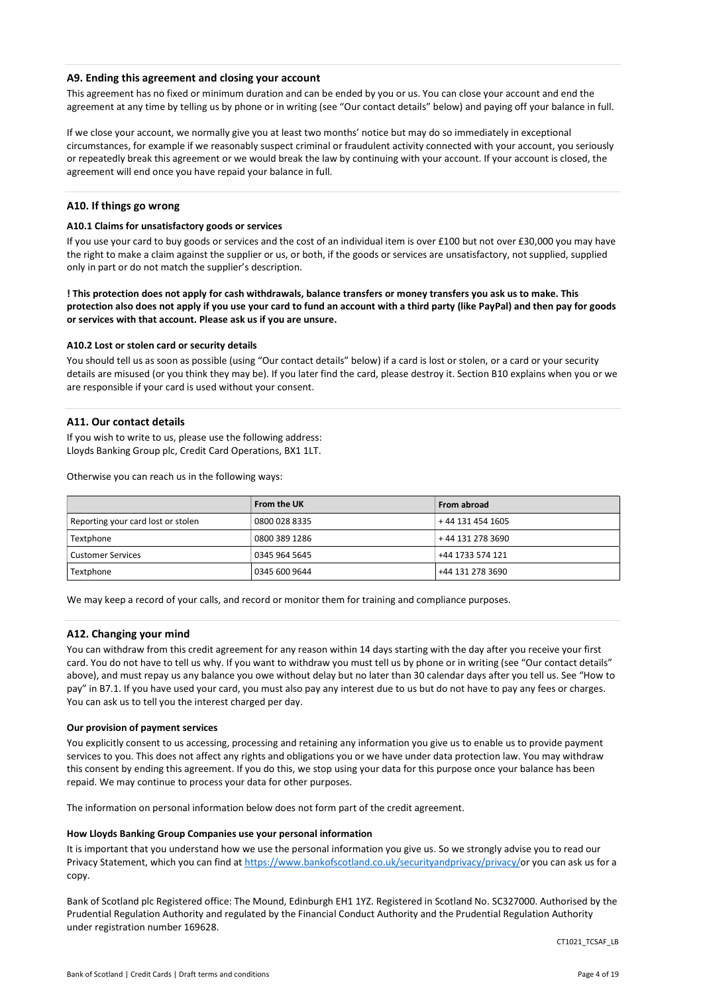## A9. Ending this agreement and closing your account

This agreement has no fixed or minimum duration and can be ended by you or us. You can close your account and end the agreement at any time by telling us by phone or in writing (see "Our contact details" below) and paying off your balance in full.

If we close your account, we normally give you at least two months' notice but may do so immediately in exceptional circumstances, for example if we reasonably suspect criminal or fraudulent activity connected with your account, you seriously or repeatedly break this agreement or we would break the law by continuing with your account. If your account is closed, the agreement will end once you have repaid your balance in full.

## A10. If things go wrong

## A10.1 Claims for unsatisfactory goods or services

If you use your card to buy goods or services and the cost of an individual item is over £100 but not over £30,000 you may have the right to make a claim against the supplier or us, or both, if the goods or services are unsatisfactory, not supplied, supplied only in part or do not match the supplier's description.

! This protection does not apply for cash withdrawals, balance transfers or money transfers you ask us to make. This protection also does not apply if you use your card to fund an account with a third party (like PayPal) and then pay for goods or services with that account. Please ask us if you are unsure.

#### A10.2 Lost or stolen card or security details

You should tell us as soon as possible (using "Our contact details" below) if a card is lost or stolen, or a card or your security details are misused (or you think they may be). If you later find the card, please destroy it. Section B10 explains when you or we are responsible if your card is used without your consent.

## A11. Our contact details

If you wish to write to us, please use the following address: Lloyds Banking Group plc, Credit Card Operations, BX1 1LT.

Otherwise you can reach us in the following ways:

|                                    | From the UK   | From abroad      |
|------------------------------------|---------------|------------------|
| Reporting your card lost or stolen | 0800 028 8335 | +44 131 454 1605 |
| Textphone                          | 0800 389 1286 | +44 131 278 3690 |
| <b>Customer Services</b>           | 0345 964 5645 | +44 1733 574 121 |
| Textphone                          | 0345 600 9644 | +44 131 278 3690 |

We may keep a record of your calls, and record or monitor them for training and compliance purposes.

#### A12. Changing your mind

You can withdraw from this credit agreement for any reason within 14 days starting with the day after you receive your first card. You do not have to tell us why. If you want to withdraw you must tell us by phone or in writing (see "Our contact details" above), and must repay us any balance you owe without delay but no later than 30 calendar days after you tell us. See "How to pay" in B7.1. If you have used your card, you must also pay any interest due to us but do not have to pay any fees or charges. You can ask us to tell you the interest charged per day.

#### Our provision of payment services

You explicitly consent to us accessing, processing and retaining any information you give us to enable us to provide payment services to you. This does not affect any rights and obligations you or we have under data protection law. You may withdraw this consent by ending this agreement. If you do this, we stop using your data for this purpose once your balance has been repaid. We may continue to process your data for other purposes.

The information on personal information below does not form part of the credit agreement.

#### How Lloyds Banking Group Companies use your personal information

It is important that you understand how we use the personal information you give us. So we strongly advise you to read our Privacy Statement, which you can find at https://www.bankofscotland.co.uk/securityandprivacy/privacy/or you can ask us for a copy.

Bank of Scotland plc Registered office: The Mound, Edinburgh EH1 1YZ. Registered in Scotland No. SC327000. Authorised by the Prudential Regulation Authority and regulated by the Financial Conduct Authority and the Prudential Regulation Authority under registration number 169628.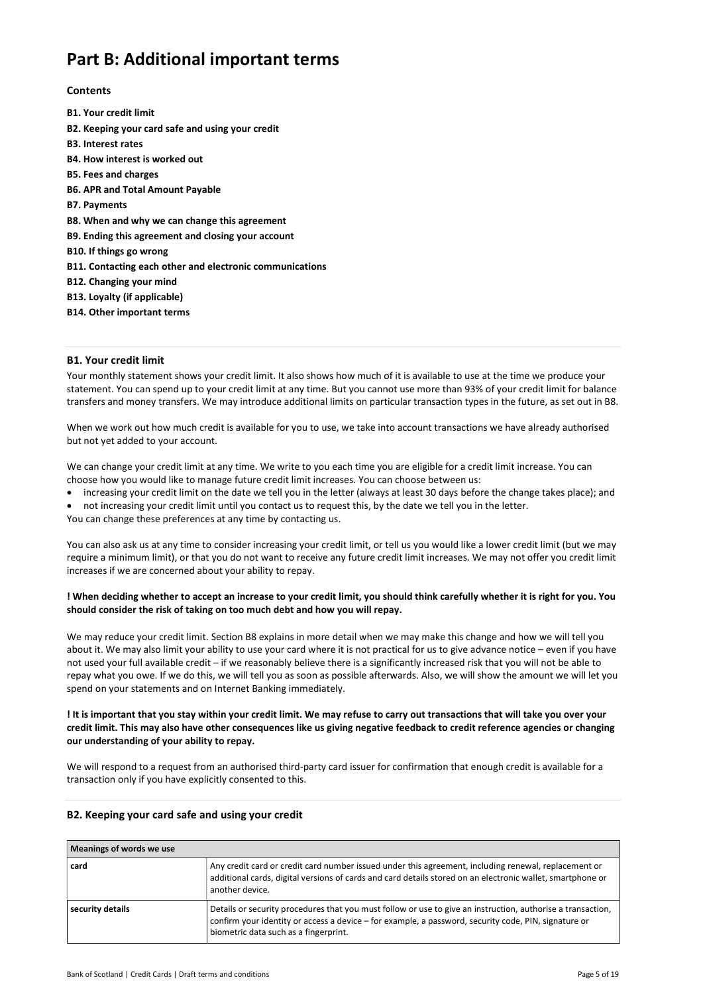# Part B: Additional important terms

## **Contents**

B1. Your credit limit B2. Keeping your card safe and using your credit B3. Interest rates B4. How interest is worked out B5. Fees and charges B6. APR and Total Amount Payable B7. Payments B8. When and why we can change this agreement B9. Ending this agreement and closing your account B10. If things go wrong B11. Contacting each other and electronic communications B12. Changing your mind B13. Loyalty (if applicable) B14. Other important terms

## B1. Your credit limit

Your monthly statement shows your credit limit. It also shows how much of it is available to use at the time we produce your statement. You can spend up to your credit limit at any time. But you cannot use more than 93% of your credit limit for balance transfers and money transfers. We may introduce additional limits on particular transaction types in the future, as set out in B8.

When we work out how much credit is available for you to use, we take into account transactions we have already authorised but not yet added to your account.

We can change your credit limit at any time. We write to you each time you are eligible for a credit limit increase. You can choose how you would like to manage future credit limit increases. You can choose between us:

increasing your credit limit on the date we tell you in the letter (always at least 30 days before the change takes place); and

 not increasing your credit limit until you contact us to request this, by the date we tell you in the letter. You can change these preferences at any time by contacting us.

You can also ask us at any time to consider increasing your credit limit, or tell us you would like a lower credit limit (but we may require a minimum limit), or that you do not want to receive any future credit limit increases. We may not offer you credit limit increases if we are concerned about your ability to repay.

## ! When deciding whether to accept an increase to your credit limit, you should think carefully whether it is right for you. You should consider the risk of taking on too much debt and how you will repay.

We may reduce your credit limit. Section B8 explains in more detail when we may make this change and how we will tell you about it. We may also limit your ability to use your card where it is not practical for us to give advance notice – even if you have not used your full available credit – if we reasonably believe there is a significantly increased risk that you will not be able to repay what you owe. If we do this, we will tell you as soon as possible afterwards. Also, we will show the amount we will let you spend on your statements and on Internet Banking immediately.

## ! It is important that you stay within your credit limit. We may refuse to carry out transactions that will take you over your credit limit. This may also have other consequences like us giving negative feedback to credit reference agencies or changing our understanding of your ability to repay.

We will respond to a request from an authorised third-party card issuer for confirmation that enough credit is available for a transaction only if you have explicitly consented to this.

## B2. Keeping your card safe and using your credit

# Meanings of words we use

| 1112411111530111014311240                                                                                                                                                                                                                                                        |                                                                                                                                                                                                                                       |  |
|----------------------------------------------------------------------------------------------------------------------------------------------------------------------------------------------------------------------------------------------------------------------------------|---------------------------------------------------------------------------------------------------------------------------------------------------------------------------------------------------------------------------------------|--|
| card                                                                                                                                                                                                                                                                             | Any credit card or credit card number issued under this agreement, including renewal, replacement or<br>additional cards, digital versions of cards and card details stored on an electronic wallet, smartphone or<br>another device. |  |
| Details or security procedures that you must follow or use to give an instruction, authorise a transaction,<br>security details<br>confirm your identity or access a device - for example, a password, security code, PIN, signature or<br>biometric data such as a fingerprint. |                                                                                                                                                                                                                                       |  |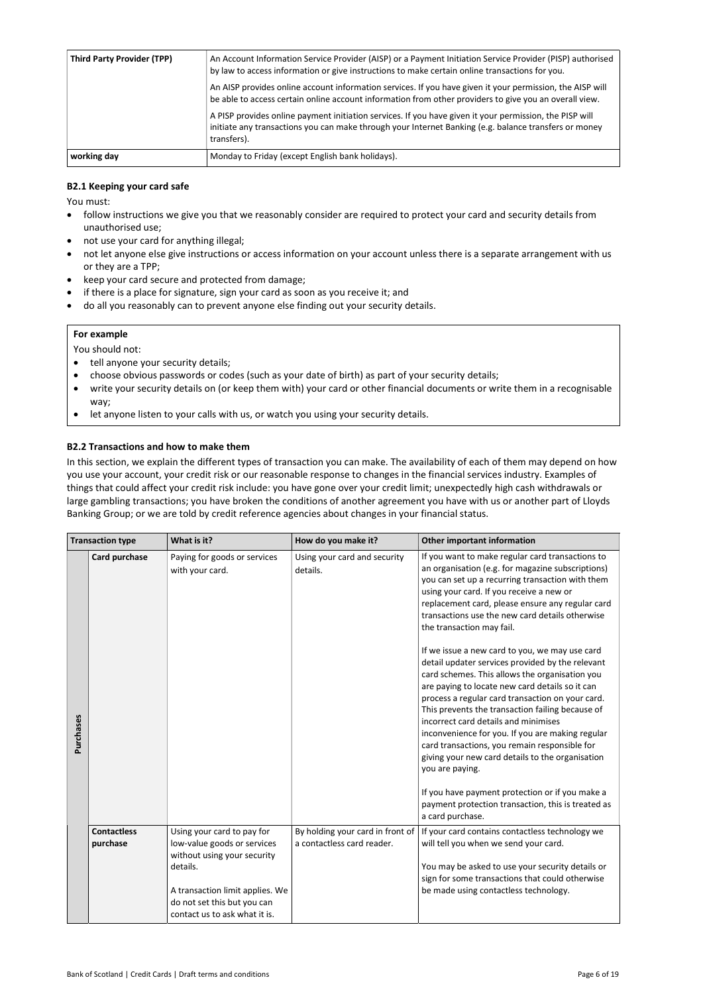| <b>Third Party Provider (TPP)</b> | An Account Information Service Provider (AISP) or a Payment Initiation Service Provider (PISP) authorised<br>by law to access information or give instructions to make certain online transactions for you.<br>An AISP provides online account information services. If you have given it your permission, the AISP will<br>be able to access certain online account information from other providers to give you an overall view.<br>A PISP provides online payment initiation services. If you have given it your permission, the PISP will<br>initiate any transactions you can make through your Internet Banking (e.g. balance transfers or money<br>transfers). |
|-----------------------------------|-----------------------------------------------------------------------------------------------------------------------------------------------------------------------------------------------------------------------------------------------------------------------------------------------------------------------------------------------------------------------------------------------------------------------------------------------------------------------------------------------------------------------------------------------------------------------------------------------------------------------------------------------------------------------|
| working day                       | Monday to Friday (except English bank holidays).                                                                                                                                                                                                                                                                                                                                                                                                                                                                                                                                                                                                                      |

## B2.1 Keeping your card safe

You must:

- follow instructions we give you that we reasonably consider are required to protect your card and security details from unauthorised use;
- not use your card for anything illegal;
- not let anyone else give instructions or access information on your account unless there is a separate arrangement with us or they are a TPP;
- keep your card secure and protected from damage;
- if there is a place for signature, sign your card as soon as you receive it; and
- do all you reasonably can to prevent anyone else finding out your security details.

## For example

You should not:

- tell anyone your security details;
- choose obvious passwords or codes (such as your date of birth) as part of your security details;
- write your security details on (or keep them with) your card or other financial documents or write them in a recognisable way;
- let anyone listen to your calls with us, or watch you using your security details.

## B2.2 Transactions and how to make them

In this section, we explain the different types of transaction you can make. The availability of each of them may depend on how you use your account, your credit risk or our reasonable response to changes in the financial services industry. Examples of things that could affect your credit risk include: you have gone over your credit limit; unexpectedly high cash withdrawals or large gambling transactions; you have broken the conditions of another agreement you have with us or another part of Lloyds Banking Group; or we are told by credit reference agencies about changes in your financial status.

|           | <b>Transaction type</b>        | What is it?                                                                                                                                                                                             | How do you make it?                                            | <b>Other important information</b>                                                                                                                                                                                                                                                                                                                                                                                                                                                                                                                                                                                                                                                                                                                                                                                                                                                                                                                                                                            |
|-----------|--------------------------------|---------------------------------------------------------------------------------------------------------------------------------------------------------------------------------------------------------|----------------------------------------------------------------|---------------------------------------------------------------------------------------------------------------------------------------------------------------------------------------------------------------------------------------------------------------------------------------------------------------------------------------------------------------------------------------------------------------------------------------------------------------------------------------------------------------------------------------------------------------------------------------------------------------------------------------------------------------------------------------------------------------------------------------------------------------------------------------------------------------------------------------------------------------------------------------------------------------------------------------------------------------------------------------------------------------|
| Purchases | Card purchase                  | Paying for goods or services<br>with your card.                                                                                                                                                         | Using your card and security<br>details.                       | If you want to make regular card transactions to<br>an organisation (e.g. for magazine subscriptions)<br>you can set up a recurring transaction with them<br>using your card. If you receive a new or<br>replacement card, please ensure any regular card<br>transactions use the new card details otherwise<br>the transaction may fail.<br>If we issue a new card to you, we may use card<br>detail updater services provided by the relevant<br>card schemes. This allows the organisation you<br>are paying to locate new card details so it can<br>process a regular card transaction on your card.<br>This prevents the transaction failing because of<br>incorrect card details and minimises<br>inconvenience for you. If you are making regular<br>card transactions, you remain responsible for<br>giving your new card details to the organisation<br>you are paying.<br>If you have payment protection or if you make a<br>payment protection transaction, this is treated as<br>a card purchase. |
|           | <b>Contactless</b><br>purchase | Using your card to pay for<br>low-value goods or services<br>without using your security<br>details.<br>A transaction limit applies. We<br>do not set this but you can<br>contact us to ask what it is. | By holding your card in front of<br>a contactless card reader. | If your card contains contactless technology we<br>will tell you when we send your card.<br>You may be asked to use your security details or<br>sign for some transactions that could otherwise<br>be made using contactless technology.                                                                                                                                                                                                                                                                                                                                                                                                                                                                                                                                                                                                                                                                                                                                                                      |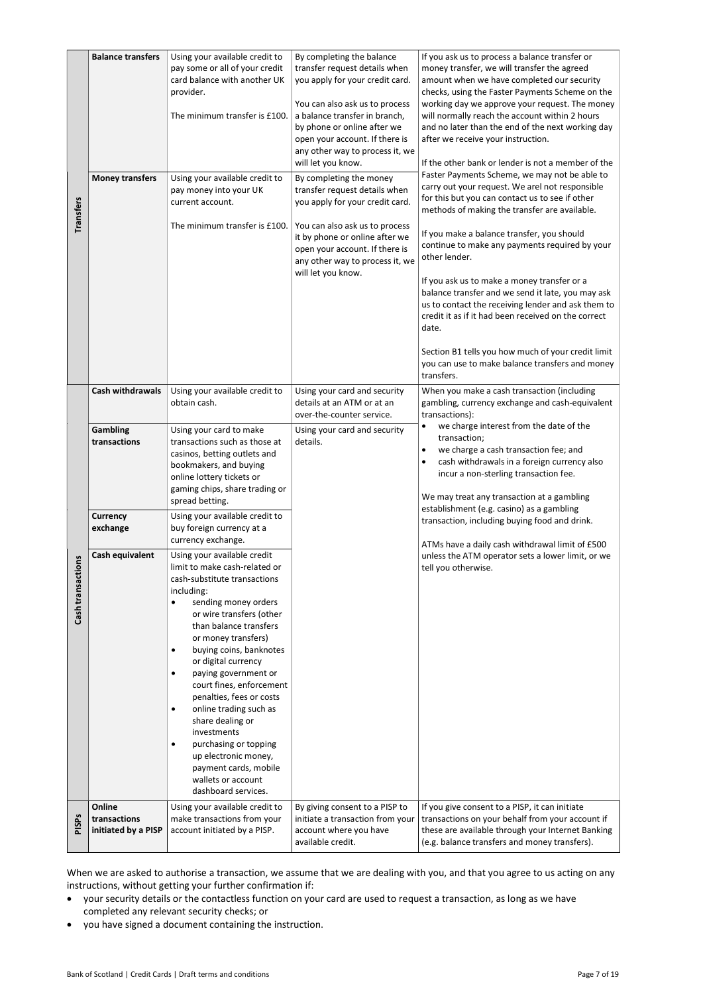| <b>Transfers</b>  | <b>Balance transfers</b><br><b>Money transfers</b>                                                                                                                                                                                                                                                                                                                                                                          | Using your available credit to<br>pay some or all of your credit<br>card balance with another UK<br>provider.<br>The minimum transfer is £100.<br>Using your available credit to<br>pay money into your UK<br>current account.<br>The minimum transfer is £100.                                                                                                                                                                                                                                                                                                                                                                                | By completing the balance<br>transfer request details when<br>you apply for your credit card.<br>You can also ask us to process<br>a balance transfer in branch,<br>by phone or online after we<br>open your account. If there is<br>any other way to process it, we<br>will let you know.<br>By completing the money<br>transfer request details when<br>you apply for your credit card.<br>You can also ask us to process<br>it by phone or online after we<br>open your account. If there is<br>any other way to process it, we<br>will let you know. | If you ask us to process a balance transfer or<br>money transfer, we will transfer the agreed<br>amount when we have completed our security<br>checks, using the Faster Payments Scheme on the<br>working day we approve your request. The money<br>will normally reach the account within 2 hours<br>and no later than the end of the next working day<br>after we receive your instruction.<br>If the other bank or lender is not a member of the<br>Faster Payments Scheme, we may not be able to<br>carry out your request. We arel not responsible<br>for this but you can contact us to see if other<br>methods of making the transfer are available.<br>If you make a balance transfer, you should<br>continue to make any payments required by your<br>other lender.<br>If you ask us to make a money transfer or a<br>balance transfer and we send it late, you may ask<br>us to contact the receiving lender and ask them to<br>credit it as if it had been received on the correct<br>date.<br>Section B1 tells you how much of your credit limit<br>you can use to make balance transfers and money<br>transfers. |
|-------------------|-----------------------------------------------------------------------------------------------------------------------------------------------------------------------------------------------------------------------------------------------------------------------------------------------------------------------------------------------------------------------------------------------------------------------------|------------------------------------------------------------------------------------------------------------------------------------------------------------------------------------------------------------------------------------------------------------------------------------------------------------------------------------------------------------------------------------------------------------------------------------------------------------------------------------------------------------------------------------------------------------------------------------------------------------------------------------------------|----------------------------------------------------------------------------------------------------------------------------------------------------------------------------------------------------------------------------------------------------------------------------------------------------------------------------------------------------------------------------------------------------------------------------------------------------------------------------------------------------------------------------------------------------------|-------------------------------------------------------------------------------------------------------------------------------------------------------------------------------------------------------------------------------------------------------------------------------------------------------------------------------------------------------------------------------------------------------------------------------------------------------------------------------------------------------------------------------------------------------------------------------------------------------------------------------------------------------------------------------------------------------------------------------------------------------------------------------------------------------------------------------------------------------------------------------------------------------------------------------------------------------------------------------------------------------------------------------------------------------------------------------------------------------------------------------|
|                   | <b>Cash withdrawals</b><br>Gambling<br>transactions                                                                                                                                                                                                                                                                                                                                                                         | Using your available credit to<br>obtain cash.<br>Using your card to make<br>transactions such as those at<br>casinos, betting outlets and<br>bookmakers, and buying<br>online lottery tickets or<br>gaming chips, share trading or<br>spread betting.                                                                                                                                                                                                                                                                                                                                                                                         | Using your card and security<br>details at an ATM or at an<br>over-the-counter service.<br>Using your card and security<br>details.                                                                                                                                                                                                                                                                                                                                                                                                                      | When you make a cash transaction (including<br>gambling, currency exchange and cash-equivalent<br>transactions):<br>we charge interest from the date of the<br>$\bullet$<br>transaction;<br>we charge a cash transaction fee; and<br>$\bullet$<br>cash withdrawals in a foreign currency also<br>$\bullet$<br>incur a non-sterling transaction fee.<br>We may treat any transaction at a gambling                                                                                                                                                                                                                                                                                                                                                                                                                                                                                                                                                                                                                                                                                                                             |
| Cash transactions | Currency<br>exchange<br>Cash equivalent                                                                                                                                                                                                                                                                                                                                                                                     | Using your available credit to<br>buy foreign currency at a<br>currency exchange.<br>Using your available credit<br>limit to make cash-related or<br>cash-substitute transactions<br>including:<br>sending money orders<br>or wire transfers (other<br>than balance transfers<br>or money transfers)<br>buying coins, banknotes<br>٠<br>or digital currency<br>paying government or<br>٠<br>court fines, enforcement<br>penalties, fees or costs<br>online trading such as<br>٠<br>share dealing or<br>investments<br>purchasing or topping<br>٠<br>up electronic money,<br>payment cards, mobile<br>wallets or account<br>dashboard services. |                                                                                                                                                                                                                                                                                                                                                                                                                                                                                                                                                          | establishment (e.g. casino) as a gambling<br>transaction, including buying food and drink.<br>ATMs have a daily cash withdrawal limit of £500<br>unless the ATM operator sets a lower limit, or we<br>tell you otherwise.                                                                                                                                                                                                                                                                                                                                                                                                                                                                                                                                                                                                                                                                                                                                                                                                                                                                                                     |
| <b>PISPs</b>      | Online<br>transactions<br>initiated by a PISP                                                                                                                                                                                                                                                                                                                                                                               | Using your available credit to<br>make transactions from your<br>account initiated by a PISP.                                                                                                                                                                                                                                                                                                                                                                                                                                                                                                                                                  | By giving consent to a PISP to<br>initiate a transaction from your<br>account where you have<br>available credit.                                                                                                                                                                                                                                                                                                                                                                                                                                        | If you give consent to a PISP, it can initiate<br>transactions on your behalf from your account if<br>these are available through your Internet Banking<br>(e.g. balance transfers and money transfers).                                                                                                                                                                                                                                                                                                                                                                                                                                                                                                                                                                                                                                                                                                                                                                                                                                                                                                                      |
| ٠<br>٠            | When we are asked to authorise a transaction, we assume that we are dealing with you, and that you agree to us acting on any<br>instructions, without getting your further confirmation if:<br>your security details or the contactless function on your card are used to request a transaction, as long as we have<br>completed any relevant security checks; or<br>you have signed a document containing the instruction. |                                                                                                                                                                                                                                                                                                                                                                                                                                                                                                                                                                                                                                                |                                                                                                                                                                                                                                                                                                                                                                                                                                                                                                                                                          |                                                                                                                                                                                                                                                                                                                                                                                                                                                                                                                                                                                                                                                                                                                                                                                                                                                                                                                                                                                                                                                                                                                               |

- your security details or the contactless function on your card are used to request a transaction, as long as we have completed any relevant security checks; or
-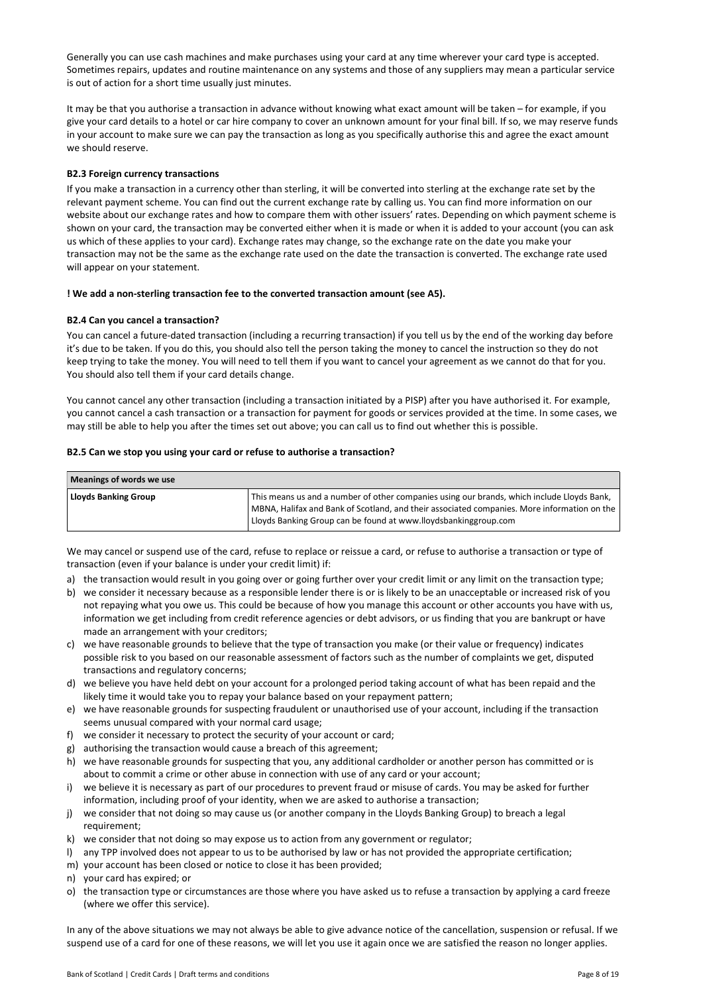Generally you can use cash machines and make purchases using your card at any time wherever your card type is accepted. Sometimes repairs, updates and routine maintenance on any systems and those of any suppliers may mean a particular service is out of action for a short time usually just minutes.

It may be that you authorise a transaction in advance without knowing what exact amount will be taken – for example, if you give your card details to a hotel or car hire company to cover an unknown amount for your final bill. If so, we may reserve funds in your account to make sure we can pay the transaction as long as you specifically authorise this and agree the exact amount we should reserve.

## B2.3 Foreign currency transactions

If you make a transaction in a currency other than sterling, it will be converted into sterling at the exchange rate set by the relevant payment scheme. You can find out the current exchange rate by calling us. You can find more information on our website about our exchange rates and how to compare them with other issuers' rates. Depending on which payment scheme is shown on your card, the transaction may be converted either when it is made or when it is added to your account (you can ask us which of these applies to your card). Exchange rates may change, so the exchange rate on the date you make your transaction may not be the same as the exchange rate used on the date the transaction is converted. The exchange rate used will appear on your statement.

#### ! We add a non-sterling transaction fee to the converted transaction amount (see A5).

## B2.4 Can you cancel a transaction?

You can cancel a future-dated transaction (including a recurring transaction) if you tell us by the end of the working day before it's due to be taken. If you do this, you should also tell the person taking the money to cancel the instruction so they do not keep trying to take the money. You will need to tell them if you want to cancel your agreement as we cannot do that for you. You should also tell them if your card details change.

You cannot cancel any other transaction (including a transaction initiated by a PISP) after you have authorised it. For example, you cannot cancel a cash transaction or a transaction for payment for goods or services provided at the time. In some cases, we may still be able to help you after the times set out above; you can call us to find out whether this is possible.

#### B2.5 Can we stop you using your card or refuse to authorise a transaction?

| Meanings of words we use    |                                                                                                                                                                                                                                                              |  |
|-----------------------------|--------------------------------------------------------------------------------------------------------------------------------------------------------------------------------------------------------------------------------------------------------------|--|
| <b>Lloyds Banking Group</b> | This means us and a number of other companies using our brands, which include Lloyds Bank,<br>MBNA, Halifax and Bank of Scotland, and their associated companies. More information on the<br>Lloyds Banking Group can be found at www.lloydsbankinggroup.com |  |

We may cancel or suspend use of the card, refuse to replace or reissue a card, or refuse to authorise a transaction or type of transaction (even if your balance is under your credit limit) if:

- a) the transaction would result in you going over or going further over your credit limit or any limit on the transaction type;
- b) we consider it necessary because as a responsible lender there is or is likely to be an unacceptable or increased risk of you not repaying what you owe us. This could be because of how you manage this account or other accounts you have with us, information we get including from credit reference agencies or debt advisors, or us finding that you are bankrupt or have made an arrangement with your creditors;
- c) we have reasonable grounds to believe that the type of transaction you make (or their value or frequency) indicates possible risk to you based on our reasonable assessment of factors such as the number of complaints we get, disputed transactions and regulatory concerns;
- d) we believe you have held debt on your account for a prolonged period taking account of what has been repaid and the likely time it would take you to repay your balance based on your repayment pattern;
- e) we have reasonable grounds for suspecting fraudulent or unauthorised use of your account, including if the transaction seems unusual compared with your normal card usage;
- f) we consider it necessary to protect the security of your account or card;
- g) authorising the transaction would cause a breach of this agreement;
- h) we have reasonable grounds for suspecting that you, any additional cardholder or another person has committed or is about to commit a crime or other abuse in connection with use of any card or your account;
- i) we believe it is necessary as part of our procedures to prevent fraud or misuse of cards. You may be asked for further information, including proof of your identity, when we are asked to authorise a transaction;
- j) we consider that not doing so may cause us (or another company in the Lloyds Banking Group) to breach a legal requirement;
- k) we consider that not doing so may expose us to action from any government or regulator;
- l) any TPP involved does not appear to us to be authorised by law or has not provided the appropriate certification;
- m) your account has been closed or notice to close it has been provided;
- n) your card has expired; or
- o) the transaction type or circumstances are those where you have asked us to refuse a transaction by applying a card freeze (where we offer this service).

In any of the above situations we may not always be able to give advance notice of the cancellation, suspension or refusal. If we suspend use of a card for one of these reasons, we will let you use it again once we are satisfied the reason no longer applies.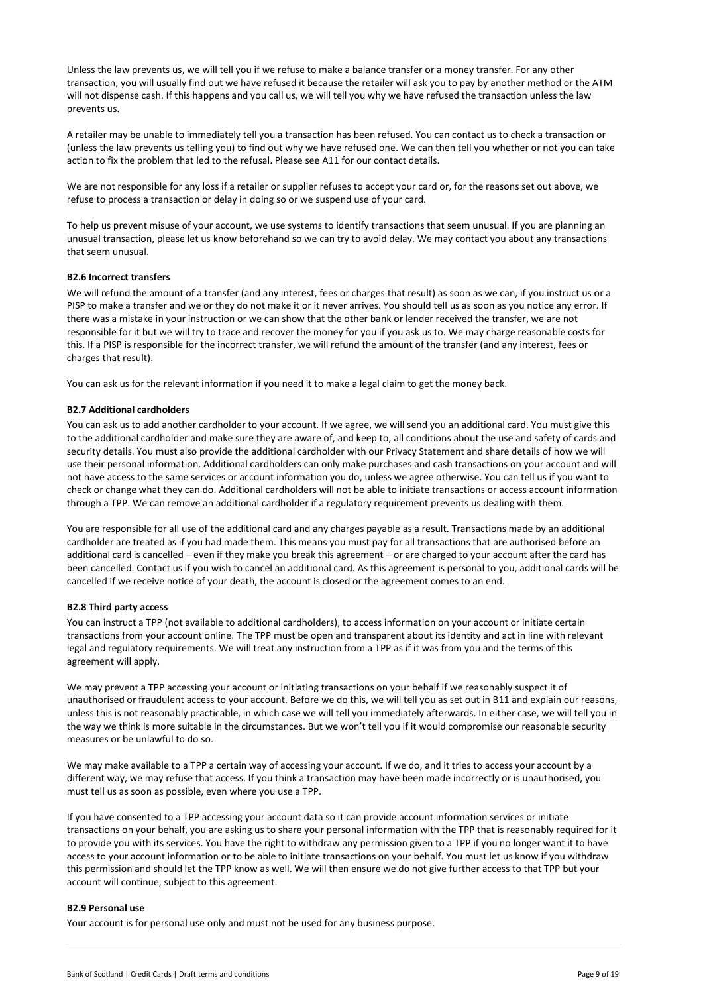Unless the law prevents us, we will tell you if we refuse to make a balance transfer or a money transfer. For any other transaction, you will usually find out we have refused it because the retailer will ask you to pay by another method or the ATM will not dispense cash. If this happens and you call us, we will tell you why we have refused the transaction unless the law prevents us.

A retailer may be unable to immediately tell you a transaction has been refused. You can contact us to check a transaction or (unless the law prevents us telling you) to find out why we have refused one. We can then tell you whether or not you can take action to fix the problem that led to the refusal. Please see A11 for our contact details.

We are not responsible for any loss if a retailer or supplier refuses to accept your card or, for the reasons set out above, we refuse to process a transaction or delay in doing so or we suspend use of your card.

To help us prevent misuse of your account, we use systems to identify transactions that seem unusual. If you are planning an unusual transaction, please let us know beforehand so we can try to avoid delay. We may contact you about any transactions that seem unusual.

## B2.6 Incorrect transfers

We will refund the amount of a transfer (and any interest, fees or charges that result) as soon as we can, if you instruct us or a PISP to make a transfer and we or they do not make it or it never arrives. You should tell us as soon as you notice any error. If there was a mistake in your instruction or we can show that the other bank or lender received the transfer, we are not responsible for it but we will try to trace and recover the money for you if you ask us to. We may charge reasonable costs for this. If a PISP is responsible for the incorrect transfer, we will refund the amount of the transfer (and any interest, fees or charges that result).

You can ask us for the relevant information if you need it to make a legal claim to get the money back.

#### B2.7 Additional cardholders

You can ask us to add another cardholder to your account. If we agree, we will send you an additional card. You must give this to the additional cardholder and make sure they are aware of, and keep to, all conditions about the use and safety of cards and security details. You must also provide the additional cardholder with our Privacy Statement and share details of how we will use their personal information. Additional cardholders can only make purchases and cash transactions on your account and will not have access to the same services or account information you do, unless we agree otherwise. You can tell us if you want to check or change what they can do. Additional cardholders will not be able to initiate transactions or access account information through a TPP. We can remove an additional cardholder if a regulatory requirement prevents us dealing with them.

You are responsible for all use of the additional card and any charges payable as a result. Transactions made by an additional cardholder are treated as if you had made them. This means you must pay for all transactions that are authorised before an additional card is cancelled – even if they make you break this agreement – or are charged to your account after the card has been cancelled. Contact us if you wish to cancel an additional card. As this agreement is personal to you, additional cards will be cancelled if we receive notice of your death, the account is closed or the agreement comes to an end.

#### B2.8 Third party access

You can instruct a TPP (not available to additional cardholders), to access information on your account or initiate certain transactions from your account online. The TPP must be open and transparent about its identity and act in line with relevant legal and regulatory requirements. We will treat any instruction from a TPP as if it was from you and the terms of this agreement will apply.

We may prevent a TPP accessing your account or initiating transactions on your behalf if we reasonably suspect it of unauthorised or fraudulent access to your account. Before we do this, we will tell you as set out in B11 and explain our reasons, unless this is not reasonably practicable, in which case we will tell you immediately afterwards. In either case, we will tell you in the way we think is more suitable in the circumstances. But we won't tell you if it would compromise our reasonable security measures or be unlawful to do so.

We may make available to a TPP a certain way of accessing your account. If we do, and it tries to access your account by a different way, we may refuse that access. If you think a transaction may have been made incorrectly or is unauthorised, you must tell us as soon as possible, even where you use a TPP.

If you have consented to a TPP accessing your account data so it can provide account information services or initiate transactions on your behalf, you are asking us to share your personal information with the TPP that is reasonably required for it to provide you with its services. You have the right to withdraw any permission given to a TPP if you no longer want it to have access to your account information or to be able to initiate transactions on your behalf. You must let us know if you withdraw this permission and should let the TPP know as well. We will then ensure we do not give further access to that TPP but your account will continue, subject to this agreement.

#### B2.9 Personal use

Your account is for personal use only and must not be used for any business purpose.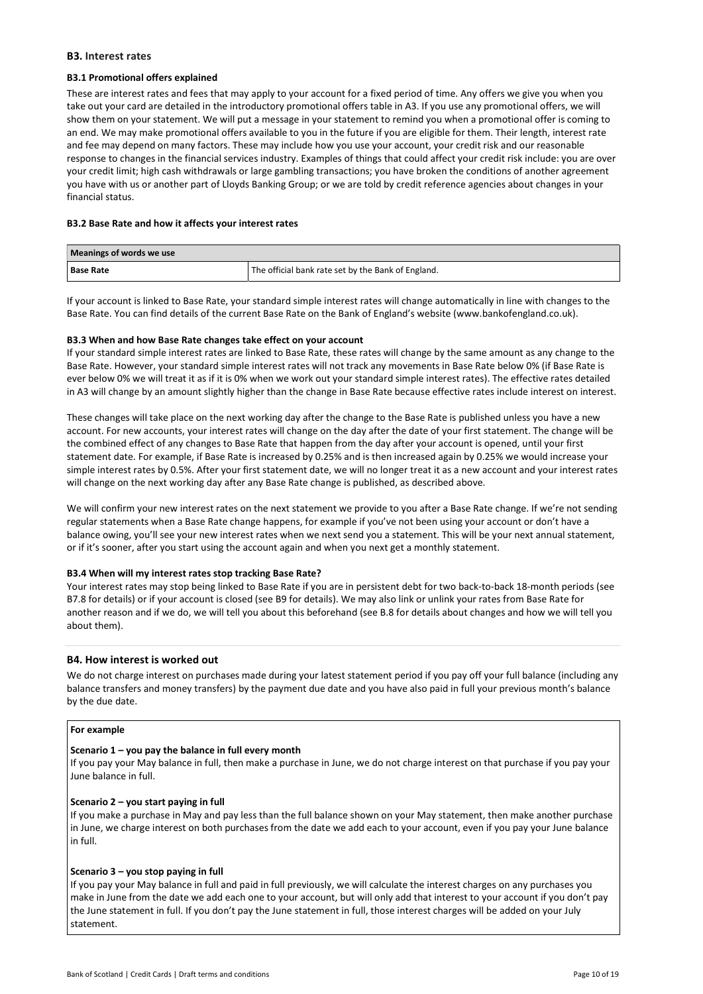## B3. Interest rates

## B3.1 Promotional offers explained

These are interest rates and fees that may apply to your account for a fixed period of time. Any offers we give you when you take out your card are detailed in the introductory promotional offers table in A3. If you use any promotional offers, we will show them on your statement. We will put a message in your statement to remind you when a promotional offer is coming to an end. We may make promotional offers available to you in the future if you are eligible for them. Their length, interest rate and fee may depend on many factors. These may include how you use your account, your credit risk and our reasonable response to changes in the financial services industry. Examples of things that could affect your credit risk include: you are over your credit limit; high cash withdrawals or large gambling transactions; you have broken the conditions of another agreement you have with us or another part of Lloyds Banking Group; or we are told by credit reference agencies about changes in your financial status.

#### B3.2 Base Rate and how it affects your interest rates

| Meanings of words we use |                                                                 |
|--------------------------|-----------------------------------------------------------------|
| <b>Base Rate</b>         | <sup>1</sup> The official bank rate set by the Bank of England. |

If your account is linked to Base Rate, your standard simple interest rates will change automatically in line with changes to the Base Rate. You can find details of the current Base Rate on the Bank of England's website (www.bankofengland.co.uk).

## B3.3 When and how Base Rate changes take effect on your account

If your standard simple interest rates are linked to Base Rate, these rates will change by the same amount as any change to the Base Rate. However, your standard simple interest rates will not track any movements in Base Rate below 0% (if Base Rate is ever below 0% we will treat it as if it is 0% when we work out your standard simple interest rates). The effective rates detailed in A3 will change by an amount slightly higher than the change in Base Rate because effective rates include interest on interest.

These changes will take place on the next working day after the change to the Base Rate is published unless you have a new account. For new accounts, your interest rates will change on the day after the date of your first statement. The change will be the combined effect of any changes to Base Rate that happen from the day after your account is opened, until your first statement date. For example, if Base Rate is increased by 0.25% and is then increased again by 0.25% we would increase your simple interest rates by 0.5%. After your first statement date, we will no longer treat it as a new account and your interest rates will change on the next working day after any Base Rate change is published, as described above.

We will confirm your new interest rates on the next statement we provide to you after a Base Rate change. If we're not sending regular statements when a Base Rate change happens, for example if you've not been using your account or don't have a balance owing, you'll see your new interest rates when we next send you a statement. This will be your next annual statement, or if it's sooner, after you start using the account again and when you next get a monthly statement.

#### B3.4 When will my interest rates stop tracking Base Rate?

Your interest rates may stop being linked to Base Rate if you are in persistent debt for two back-to-back 18-month periods (see B7.8 for details) or if your account is closed (see B9 for details). We may also link or unlink your rates from Base Rate for another reason and if we do, we will tell you about this beforehand (see B.8 for details about changes and how we will tell you about them).

## B4. How interest is worked out

We do not charge interest on purchases made during your latest statement period if you pay off your full balance (including any balance transfers and money transfers) by the payment due date and you have also paid in full your previous month's balance by the due date.

## For example

## Scenario 1 – you pay the balance in full every month

If you pay your May balance in full, then make a purchase in June, we do not charge interest on that purchase if you pay your June balance in full.

#### Scenario 2 – you start paying in full

If you make a purchase in May and pay less than the full balance shown on your May statement, then make another purchase in June, we charge interest on both purchases from the date we add each to your account, even if you pay your June balance in full.

#### Scenario 3 – you stop paying in full

If you pay your May balance in full and paid in full previously, we will calculate the interest charges on any purchases you make in June from the date we add each one to your account, but will only add that interest to your account if you don't pay the June statement in full. If you don't pay the June statement in full, those interest charges will be added on your July statement.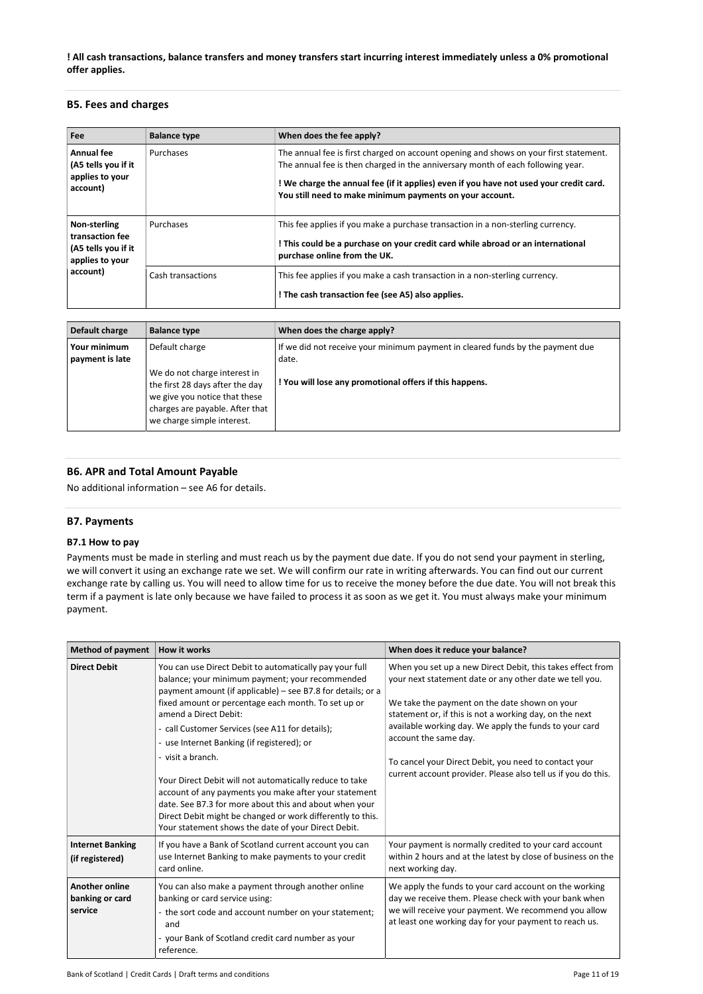! All cash transactions, balance transfers and money transfers start incurring interest immediately unless a 0% promotional offer applies.

## B5. Fees and charges

| Fee                                                                       | <b>Balance type</b> | When does the fee apply?                                                                                                                                                                                                                                                                                                       |
|---------------------------------------------------------------------------|---------------------|--------------------------------------------------------------------------------------------------------------------------------------------------------------------------------------------------------------------------------------------------------------------------------------------------------------------------------|
| Annual fee<br>(A5 tells you if it<br>applies to your<br>account)          | Purchases           | The annual fee is first charged on account opening and shows on your first statement.<br>The annual fee is then charged in the anniversary month of each following year.<br>! We charge the annual fee (if it applies) even if you have not used your credit card.<br>You still need to make minimum payments on your account. |
| Non-sterling<br>transaction fee<br>(A5 tells you if it<br>applies to your | Purchases           | This fee applies if you make a purchase transaction in a non-sterling currency.<br>! This could be a purchase on your credit card while abroad or an international<br>purchase online from the UK.                                                                                                                             |
| account)                                                                  | Cash transactions   | This fee applies if you make a cash transaction in a non-sterling currency.<br>! The cash transaction fee (see A5) also applies.                                                                                                                                                                                               |
|                                                                           |                     |                                                                                                                                                                                                                                                                                                                                |
| Default charge                                                            | <b>Balance type</b> | When does the charge apply?                                                                                                                                                                                                                                                                                                    |

| Default charge                  | <b>Balance type</b>                                                                                                                                               | When does the charge apply?                                                             |
|---------------------------------|-------------------------------------------------------------------------------------------------------------------------------------------------------------------|-----------------------------------------------------------------------------------------|
| Your minimum<br>payment is late | Default charge                                                                                                                                                    | If we did not receive your minimum payment in cleared funds by the payment due<br>date. |
|                                 | We do not charge interest in<br>the first 28 days after the day<br>we give you notice that these<br>charges are payable. After that<br>we charge simple interest. | ! You will lose any promotional offers if this happens.                                 |

## B6. APR and Total Amount Payable

No additional information – see A6 for details.

## B7. Payments

## B7.1 How to pay

Payments must be made in sterling and must reach us by the payment due date. If you do not send your payment in sterling, we will convert it using an exchange rate we set. We will confirm our rate in writing afterwards. You can find out our current exchange rate by calling us. You will need to allow time for us to receive the money before the due date. You will not break this term if a payment is late only because we have failed to process it as soon as we get it. You must always make your minimum payment.

| <b>Method of payment</b>                            | <b>How it works</b>                                                                                                                                                                                                                                                                                                                                                                                                                                                                                                                                                                                                                                                                | When does it reduce your balance?                                                                                                                                                                                                                                                                                                                                                                                                              |
|-----------------------------------------------------|------------------------------------------------------------------------------------------------------------------------------------------------------------------------------------------------------------------------------------------------------------------------------------------------------------------------------------------------------------------------------------------------------------------------------------------------------------------------------------------------------------------------------------------------------------------------------------------------------------------------------------------------------------------------------------|------------------------------------------------------------------------------------------------------------------------------------------------------------------------------------------------------------------------------------------------------------------------------------------------------------------------------------------------------------------------------------------------------------------------------------------------|
| <b>Direct Debit</b>                                 | You can use Direct Debit to automatically pay your full<br>balance; your minimum payment; your recommended<br>payment amount (if applicable) – see B7.8 for details; or a<br>fixed amount or percentage each month. To set up or<br>amend a Direct Debit:<br>- call Customer Services (see A11 for details);<br>- use Internet Banking (if registered); or<br>- visit a branch.<br>Your Direct Debit will not automatically reduce to take<br>account of any payments you make after your statement<br>date. See B7.3 for more about this and about when your<br>Direct Debit might be changed or work differently to this.<br>Your statement shows the date of your Direct Debit. | When you set up a new Direct Debit, this takes effect from<br>your next statement date or any other date we tell you.<br>We take the payment on the date shown on your<br>statement or, if this is not a working day, on the next<br>available working day. We apply the funds to your card<br>account the same day.<br>To cancel your Direct Debit, you need to contact your<br>current account provider. Please also tell us if you do this. |
| <b>Internet Banking</b><br>(if registered)          | If you have a Bank of Scotland current account you can<br>use Internet Banking to make payments to your credit<br>card online.                                                                                                                                                                                                                                                                                                                                                                                                                                                                                                                                                     | Your payment is normally credited to your card account<br>within 2 hours and at the latest by close of business on the<br>next working day.                                                                                                                                                                                                                                                                                                    |
| <b>Another online</b><br>banking or card<br>service | You can also make a payment through another online<br>banking or card service using:<br>- the sort code and account number on your statement;<br>and<br>- your Bank of Scotland credit card number as your<br>reference.                                                                                                                                                                                                                                                                                                                                                                                                                                                           | We apply the funds to your card account on the working<br>day we receive them. Please check with your bank when<br>we will receive your payment. We recommend you allow<br>at least one working day for your payment to reach us.                                                                                                                                                                                                              |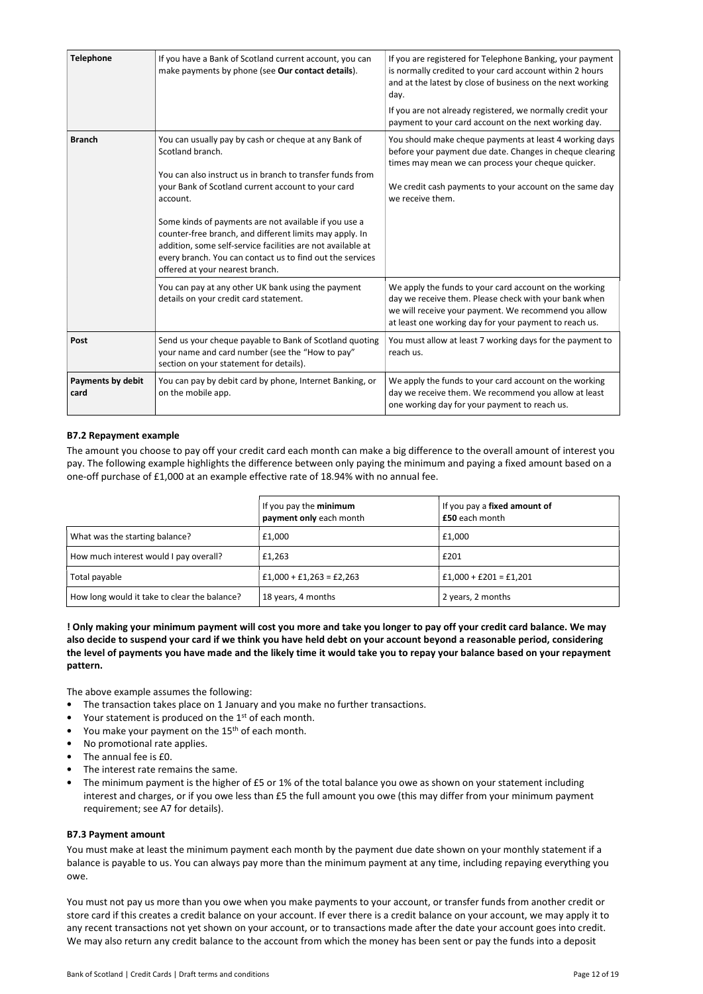| <b>Telephone</b>                 | If you have a Bank of Scotland current account, you can<br>make payments by phone (see Our contact details).                                                                                                                                                                                                                                                                                                                                                                               | If you are registered for Telephone Banking, your payment<br>is normally credited to your card account within 2 hours<br>and at the latest by close of business on the next working<br>day.<br>If you are not already registered, we normally credit your |
|----------------------------------|--------------------------------------------------------------------------------------------------------------------------------------------------------------------------------------------------------------------------------------------------------------------------------------------------------------------------------------------------------------------------------------------------------------------------------------------------------------------------------------------|-----------------------------------------------------------------------------------------------------------------------------------------------------------------------------------------------------------------------------------------------------------|
|                                  |                                                                                                                                                                                                                                                                                                                                                                                                                                                                                            | payment to your card account on the next working day.                                                                                                                                                                                                     |
| <b>Branch</b>                    | You can usually pay by cash or cheque at any Bank of<br>Scotland branch.<br>You can also instruct us in branch to transfer funds from<br>your Bank of Scotland current account to your card<br>account.<br>Some kinds of payments are not available if you use a<br>counter-free branch, and different limits may apply. In<br>addition, some self-service facilities are not available at<br>every branch. You can contact us to find out the services<br>offered at your nearest branch. | You should make cheque payments at least 4 working days<br>before your payment due date. Changes in cheque clearing<br>times may mean we can process your cheque quicker.<br>We credit cash payments to your account on the same day<br>we receive them.  |
|                                  | You can pay at any other UK bank using the payment<br>details on your credit card statement.                                                                                                                                                                                                                                                                                                                                                                                               | We apply the funds to your card account on the working<br>day we receive them. Please check with your bank when<br>we will receive your payment. We recommend you allow<br>at least one working day for your payment to reach us.                         |
| Post                             | Send us your cheque payable to Bank of Scotland quoting<br>your name and card number (see the "How to pay"<br>section on your statement for details).                                                                                                                                                                                                                                                                                                                                      | You must allow at least 7 working days for the payment to<br>reach us.                                                                                                                                                                                    |
| <b>Payments by debit</b><br>card | You can pay by debit card by phone, Internet Banking, or<br>on the mobile app.                                                                                                                                                                                                                                                                                                                                                                                                             | We apply the funds to your card account on the working<br>day we receive them. We recommend you allow at least<br>one working day for your payment to reach us.                                                                                           |

## B7.2 Repayment example

The amount you choose to pay off your credit card each month can make a big difference to the overall amount of interest you pay. The following example highlights the difference between only paying the minimum and paying a fixed amount based on a one-off purchase of £1,000 at an example effective rate of 18.94% with no annual fee.

|                                              | If you pay the minimum<br>payment only each month | If you pay a fixed amount of<br>£50 each month |
|----------------------------------------------|---------------------------------------------------|------------------------------------------------|
| What was the starting balance?               | £1,000                                            | £1,000                                         |
| How much interest would I pay overall?       | £1,263                                            | £201                                           |
| Total payable                                | $£1,000 + £1,263 = £2,263$                        | $£1,000 + £201 = £1,201$                       |
| How long would it take to clear the balance? | 18 years, 4 months                                | 2 years, 2 months                              |

## ! Only making your minimum payment will cost you more and take you longer to pay off your credit card balance. We may also decide to suspend your card if we think you have held debt on your account beyond a reasonable period, considering the level of payments you have made and the likely time it would take you to repay your balance based on your repayment pattern.

The above example assumes the following:

- The transaction takes place on 1 January and you make no further transactions.
- Your statement is produced on the  $1<sup>st</sup>$  of each month.
- You make your payment on the 15<sup>th</sup> of each month.
- No promotional rate applies.
- The annual fee is £0.
- The interest rate remains the same.
- The minimum payment is the higher of £5 or 1% of the total balance you owe as shown on your statement including interest and charges, or if you owe less than £5 the full amount you owe (this may differ from your minimum payment requirement; see A7 for details).

#### B7.3 Payment amount

You must make at least the minimum payment each month by the payment due date shown on your monthly statement if a balance is payable to us. You can always pay more than the minimum payment at any time, including repaying everything you owe.

You must not pay us more than you owe when you make payments to your account, or transfer funds from another credit or store card if this creates a credit balance on your account. If ever there is a credit balance on your account, we may apply it to any recent transactions not yet shown on your account, or to transactions made after the date your account goes into credit. We may also return any credit balance to the account from which the money has been sent or pay the funds into a deposit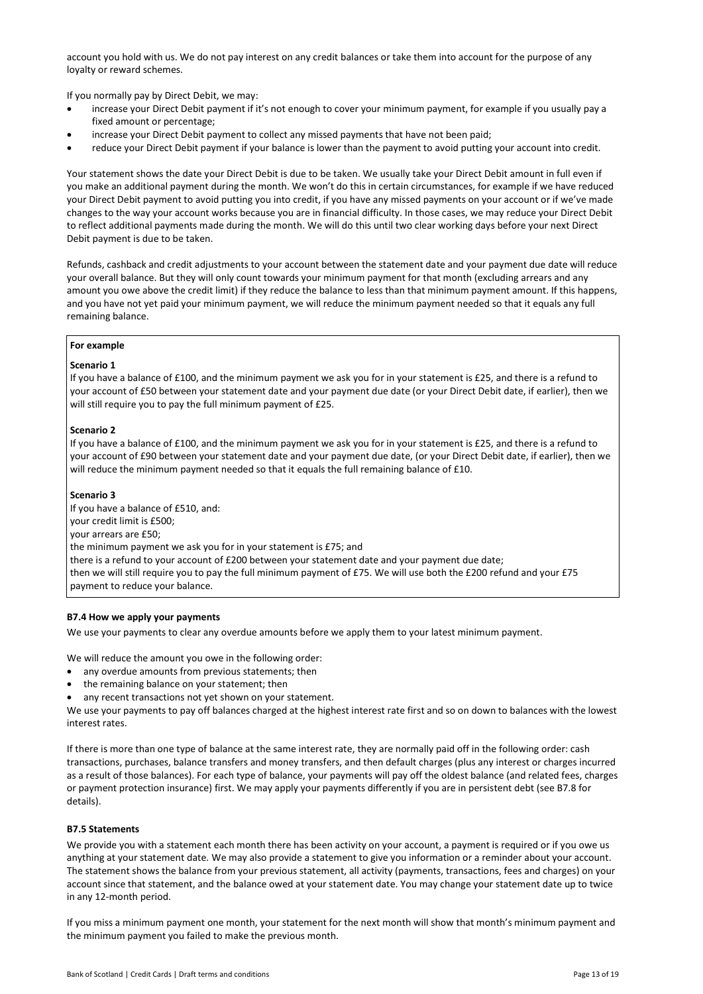account you hold with us. We do not pay interest on any credit balances or take them into account for the purpose of any loyalty or reward schemes.

If you normally pay by Direct Debit, we may:

- increase your Direct Debit payment if it's not enough to cover your minimum payment, for example if you usually pay a fixed amount or percentage;
- increase your Direct Debit payment to collect any missed payments that have not been paid;
- reduce your Direct Debit payment if your balance is lower than the payment to avoid putting your account into credit.

Your statement shows the date your Direct Debit is due to be taken. We usually take your Direct Debit amount in full even if you make an additional payment during the month. We won't do this in certain circumstances, for example if we have reduced your Direct Debit payment to avoid putting you into credit, if you have any missed payments on your account or if we've made changes to the way your account works because you are in financial difficulty. In those cases, we may reduce your Direct Debit to reflect additional payments made during the month. We will do this until two clear working days before your next Direct Debit payment is due to be taken.

Refunds, cashback and credit adjustments to your account between the statement date and your payment due date will reduce your overall balance. But they will only count towards your minimum payment for that month (excluding arrears and any amount you owe above the credit limit) if they reduce the balance to less than that minimum payment amount. If this happens, and you have not yet paid your minimum payment, we will reduce the minimum payment needed so that it equals any full remaining balance.

#### For example

## Scenario 1

If you have a balance of £100, and the minimum payment we ask you for in your statement is £25, and there is a refund to your account of £50 between your statement date and your payment due date (or your Direct Debit date, if earlier), then we will still require you to pay the full minimum payment of £25.

## Scenario 2

If you have a balance of £100, and the minimum payment we ask you for in your statement is £25, and there is a refund to your account of £90 between your statement date and your payment due date, (or your Direct Debit date, if earlier), then we will reduce the minimum payment needed so that it equals the full remaining balance of £10.

## Scenario 3

If you have a balance of £510, and: your credit limit is £500; your arrears are £50; the minimum payment we ask you for in your statement is £75; and there is a refund to your account of £200 between your statement date and your payment due date; then we will still require you to pay the full minimum payment of £75. We will use both the £200 refund and your £75 payment to reduce your balance.

## B7.4 How we apply your payments

We use your payments to clear any overdue amounts before we apply them to your latest minimum payment.

We will reduce the amount you owe in the following order:

- any overdue amounts from previous statements; then
- the remaining balance on your statement; then
- any recent transactions not yet shown on your statement.

We use your payments to pay off balances charged at the highest interest rate first and so on down to balances with the lowest interest rates.

If there is more than one type of balance at the same interest rate, they are normally paid off in the following order: cash transactions, purchases, balance transfers and money transfers, and then default charges (plus any interest or charges incurred as a result of those balances). For each type of balance, your payments will pay off the oldest balance (and related fees, charges or payment protection insurance) first. We may apply your payments differently if you are in persistent debt (see B7.8 for details).

#### B7.5 Statements

We provide you with a statement each month there has been activity on your account, a payment is required or if you owe us anything at your statement date. We may also provide a statement to give you information or a reminder about your account. The statement shows the balance from your previous statement, all activity (payments, transactions, fees and charges) on your account since that statement, and the balance owed at your statement date. You may change your statement date up to twice in any 12-month period.

If you miss a minimum payment one month, your statement for the next month will show that month's minimum payment and the minimum payment you failed to make the previous month.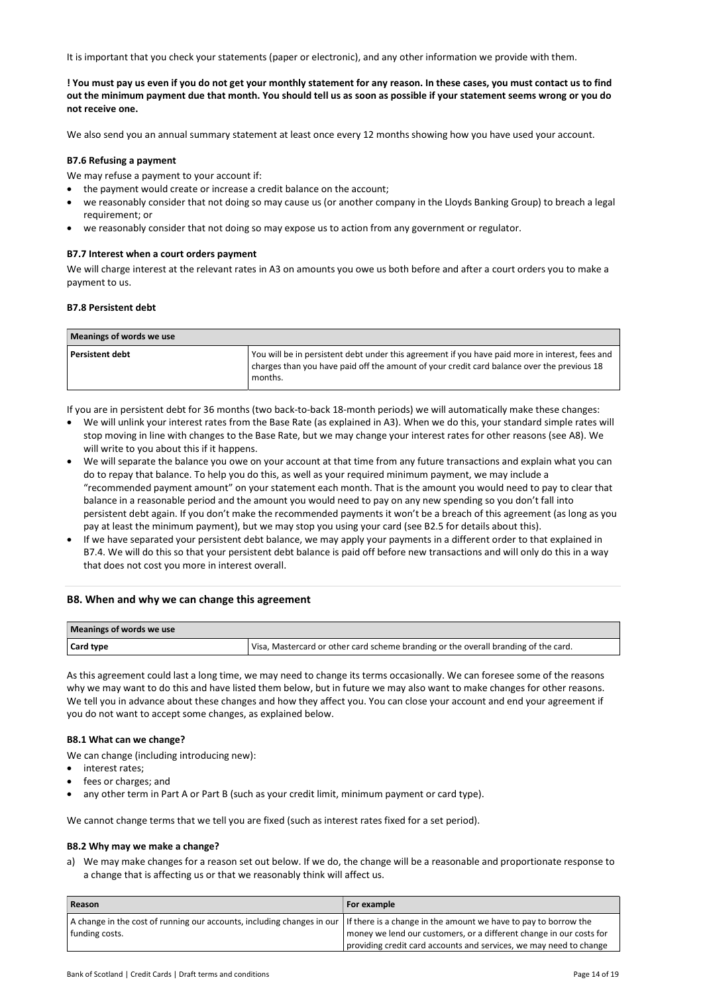It is important that you check your statements (paper or electronic), and any other information we provide with them.

! You must pay us even if you do not get your monthly statement for any reason. In these cases, you must contact us to find out the minimum payment due that month. You should tell us as soon as possible if your statement seems wrong or you do not receive one.

We also send you an annual summary statement at least once every 12 months showing how you have used your account.

#### B7.6 Refusing a payment

We may refuse a payment to your account if:

- the payment would create or increase a credit balance on the account;
- we reasonably consider that not doing so may cause us (or another company in the Lloyds Banking Group) to breach a legal requirement; or
- we reasonably consider that not doing so may expose us to action from any government or regulator.

#### B7.7 Interest when a court orders payment

We will charge interest at the relevant rates in A3 on amounts you owe us both before and after a court orders you to make a payment to us.

#### B7.8 Persistent debt

| Meanings of words we use |                                                                                                                                                                                                          |  |
|--------------------------|----------------------------------------------------------------------------------------------------------------------------------------------------------------------------------------------------------|--|
| <b>Persistent debt</b>   | You will be in persistent debt under this agreement if you have paid more in interest, fees and<br>charges than you have paid off the amount of your credit card balance over the previous 18<br>months. |  |

If you are in persistent debt for 36 months (two back-to-back 18-month periods) we will automatically make these changes:

- We will unlink your interest rates from the Base Rate (as explained in A3). When we do this, your standard simple rates will stop moving in line with changes to the Base Rate, but we may change your interest rates for other reasons (see A8). We will write to you about this if it happens.
- We will separate the balance you owe on your account at that time from any future transactions and explain what you can do to repay that balance. To help you do this, as well as your required minimum payment, we may include a "recommended payment amount" on your statement each month. That is the amount you would need to pay to clear that balance in a reasonable period and the amount you would need to pay on any new spending so you don't fall into persistent debt again. If you don't make the recommended payments it won't be a breach of this agreement (as long as you pay at least the minimum payment), but we may stop you using your card (see B2.5 for details about this).
- If we have separated your persistent debt balance, we may apply your payments in a different order to that explained in B7.4. We will do this so that your persistent debt balance is paid off before new transactions and will only do this in a way that does not cost you more in interest overall.

## B8. When and why we can change this agreement

| Meanings of words we use |                                                                                     |  |
|--------------------------|-------------------------------------------------------------------------------------|--|
| Card type                | Visa, Mastercard or other card scheme branding or the overall branding of the card. |  |

As this agreement could last a long time, we may need to change its terms occasionally. We can foresee some of the reasons why we may want to do this and have listed them below, but in future we may also want to make changes for other reasons. We tell you in advance about these changes and how they affect you. You can close your account and end your agreement if you do not want to accept some changes, as explained below.

#### B8.1 What can we change?

We can change (including introducing new):

- interest rates;
- fees or charges; and
- any other term in Part A or Part B (such as your credit limit, minimum payment or card type).

We cannot change terms that we tell you are fixed (such as interest rates fixed for a set period).

## B8.2 Why may we make a change?

a) We may make changes for a reason set out below. If we do, the change will be a reasonable and proportionate response to a change that is affecting us or that we reasonably think will affect us.

| Reason                                                                                                                                                   | For example                                                         |
|----------------------------------------------------------------------------------------------------------------------------------------------------------|---------------------------------------------------------------------|
| A change in the cost of running our accounts, including changes in our If there is a change in the amount we have to pay to borrow the<br>funding costs. | money we lend our customers, or a different change in our costs for |
|                                                                                                                                                          | providing credit card accounts and services, we may need to change  |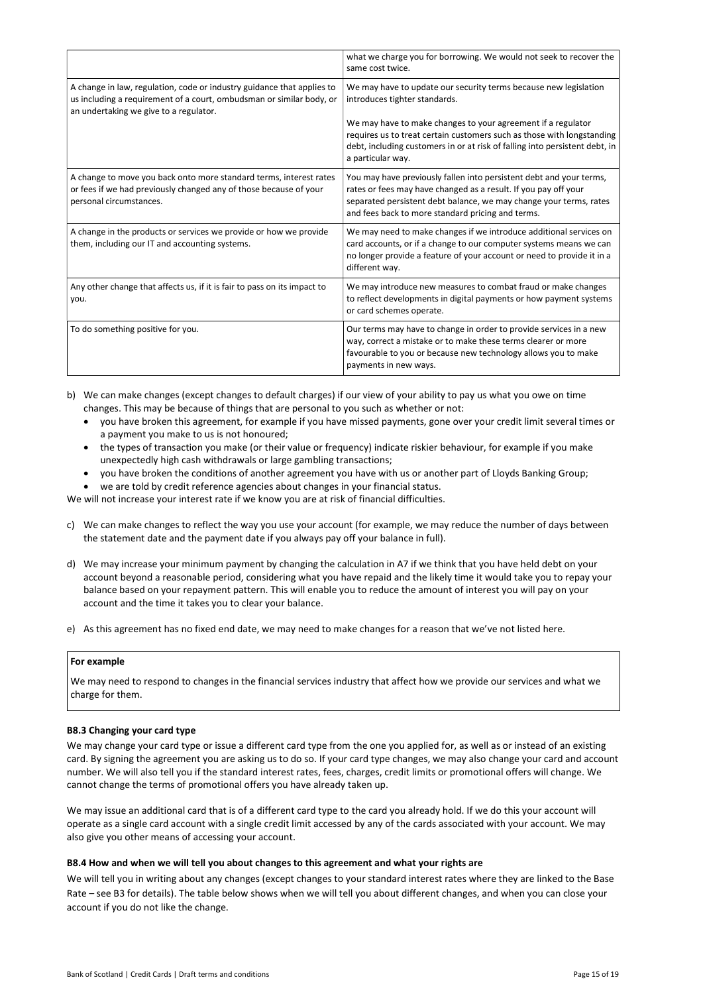|                                                                                                                                                                                          | what we charge you for borrowing. We would not seek to recover the<br>same cost twice.                                                                                                                                                                                                                                                          |
|------------------------------------------------------------------------------------------------------------------------------------------------------------------------------------------|-------------------------------------------------------------------------------------------------------------------------------------------------------------------------------------------------------------------------------------------------------------------------------------------------------------------------------------------------|
| A change in law, regulation, code or industry guidance that applies to<br>us including a requirement of a court, ombudsman or similar body, or<br>an undertaking we give to a regulator. | We may have to update our security terms because new legislation<br>introduces tighter standards.<br>We may have to make changes to your agreement if a regulator<br>requires us to treat certain customers such as those with longstanding<br>debt, including customers in or at risk of falling into persistent debt, in<br>a particular way. |
| A change to move you back onto more standard terms, interest rates<br>or fees if we had previously changed any of those because of your<br>personal circumstances.                       | You may have previously fallen into persistent debt and your terms,<br>rates or fees may have changed as a result. If you pay off your<br>separated persistent debt balance, we may change your terms, rates<br>and fees back to more standard pricing and terms.                                                                               |
| A change in the products or services we provide or how we provide<br>them, including our IT and accounting systems.                                                                      | We may need to make changes if we introduce additional services on<br>card accounts, or if a change to our computer systems means we can<br>no longer provide a feature of your account or need to provide it in a<br>different way.                                                                                                            |
| Any other change that affects us, if it is fair to pass on its impact to<br>you.                                                                                                         | We may introduce new measures to combat fraud or make changes<br>to reflect developments in digital payments or how payment systems<br>or card schemes operate.                                                                                                                                                                                 |
| To do something positive for you.                                                                                                                                                        | Our terms may have to change in order to provide services in a new<br>way, correct a mistake or to make these terms clearer or more<br>favourable to you or because new technology allows you to make<br>payments in new ways.                                                                                                                  |

- b) We can make changes (except changes to default charges) if our view of your ability to pay us what you owe on time changes. This may be because of things that are personal to you such as whether or not:
	- you have broken this agreement, for example if you have missed payments, gone over your credit limit several times or a payment you make to us is not honoured;
	- the types of transaction you make (or their value or frequency) indicate riskier behaviour, for example if you make unexpectedly high cash withdrawals or large gambling transactions;
	- you have broken the conditions of another agreement you have with us or another part of Lloyds Banking Group;
	- we are told by credit reference agencies about changes in your financial status.

We will not increase your interest rate if we know you are at risk of financial difficulties.

- c) We can make changes to reflect the way you use your account (for example, we may reduce the number of days between the statement date and the payment date if you always pay off your balance in full).
- d) We may increase your minimum payment by changing the calculation in A7 if we think that you have held debt on your account beyond a reasonable period, considering what you have repaid and the likely time it would take you to repay your balance based on your repayment pattern. This will enable you to reduce the amount of interest you will pay on your account and the time it takes you to clear your balance.
- e) As this agreement has no fixed end date, we may need to make changes for a reason that we've not listed here.

## For example

We may need to respond to changes in the financial services industry that affect how we provide our services and what we charge for them.

#### B8.3 Changing your card type

We may change your card type or issue a different card type from the one you applied for, as well as or instead of an existing card. By signing the agreement you are asking us to do so. If your card type changes, we may also change your card and account number. We will also tell you if the standard interest rates, fees, charges, credit limits or promotional offers will change. We cannot change the terms of promotional offers you have already taken up.

We may issue an additional card that is of a different card type to the card you already hold. If we do this your account will operate as a single card account with a single credit limit accessed by any of the cards associated with your account. We may also give you other means of accessing your account.

#### B8.4 How and when we will tell you about changes to this agreement and what your rights are

We will tell you in writing about any changes (except changes to your standard interest rates where they are linked to the Base Rate – see B3 for details). The table below shows when we will tell you about different changes, and when you can close your account if you do not like the change.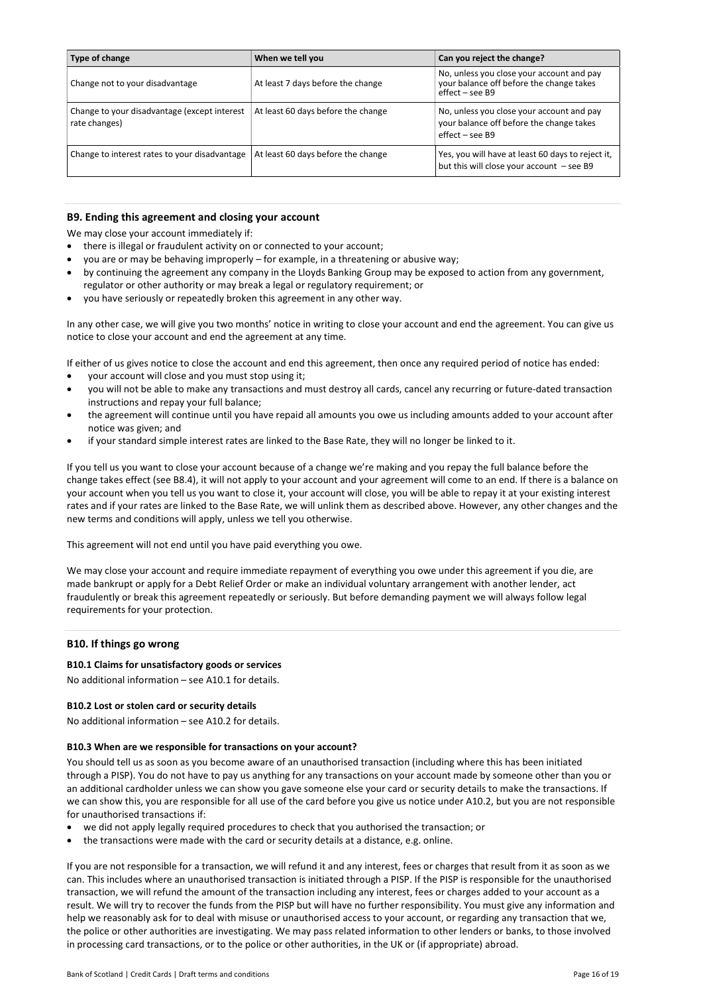| Type of change                                                | When we tell you                   | Can you reject the change?                                                                                 |
|---------------------------------------------------------------|------------------------------------|------------------------------------------------------------------------------------------------------------|
| Change not to your disadvantage                               | At least 7 days before the change  | No, unless you close your account and pay<br>your balance off before the change takes<br>$effect - see B9$ |
| Change to your disadvantage (except interest<br>rate changes) | At least 60 days before the change | No, unless you close your account and pay<br>your balance off before the change takes<br>effect – see B9   |
| Change to interest rates to your disadvantage                 | At least 60 days before the change | Yes, you will have at least 60 days to reject it,<br>but this will close your account - see B9             |

## B9. Ending this agreement and closing your account

We may close your account immediately if:

- there is illegal or fraudulent activity on or connected to your account;
- you are or may be behaving improperly for example, in a threatening or abusive way;
- by continuing the agreement any company in the Lloyds Banking Group may be exposed to action from any government, regulator or other authority or may break a legal or regulatory requirement; or
- you have seriously or repeatedly broken this agreement in any other way.

In any other case, we will give you two months' notice in writing to close your account and end the agreement. You can give us notice to close your account and end the agreement at any time.

If either of us gives notice to close the account and end this agreement, then once any required period of notice has ended:

- your account will close and you must stop using it;
- you will not be able to make any transactions and must destroy all cards, cancel any recurring or future-dated transaction instructions and repay your full balance;
- the agreement will continue until you have repaid all amounts you owe us including amounts added to your account after notice was given; and
- if your standard simple interest rates are linked to the Base Rate, they will no longer be linked to it.

If you tell us you want to close your account because of a change we're making and you repay the full balance before the change takes effect (see B8.4), it will not apply to your account and your agreement will come to an end. If there is a balance on your account when you tell us you want to close it, your account will close, you will be able to repay it at your existing interest rates and if your rates are linked to the Base Rate, we will unlink them as described above. However, any other changes and the new terms and conditions will apply, unless we tell you otherwise.

This agreement will not end until you have paid everything you owe.

We may close your account and require immediate repayment of everything you owe under this agreement if you die, are made bankrupt or apply for a Debt Relief Order or make an individual voluntary arrangement with another lender, act fraudulently or break this agreement repeatedly or seriously. But before demanding payment we will always follow legal requirements for your protection.

## B10. If things go wrong

## B10.1 Claims for unsatisfactory goods or services

No additional information – see A10.1 for details.

## B10.2 Lost or stolen card or security details

No additional information – see A10.2 for details.

#### B10.3 When are we responsible for transactions on your account?

You should tell us as soon as you become aware of an unauthorised transaction (including where this has been initiated through a PISP). You do not have to pay us anything for any transactions on your account made by someone other than you or an additional cardholder unless we can show you gave someone else your card or security details to make the transactions. If we can show this, you are responsible for all use of the card before you give us notice under A10.2, but you are not responsible for unauthorised transactions if:

- we did not apply legally required procedures to check that you authorised the transaction; or
- the transactions were made with the card or security details at a distance, e.g. online.

If you are not responsible for a transaction, we will refund it and any interest, fees or charges that result from it as soon as we can. This includes where an unauthorised transaction is initiated through a PISP. If the PISP is responsible for the unauthorised transaction, we will refund the amount of the transaction including any interest, fees or charges added to your account as a result. We will try to recover the funds from the PISP but will have no further responsibility. You must give any information and help we reasonably ask for to deal with misuse or unauthorised access to your account, or regarding any transaction that we, the police or other authorities are investigating. We may pass related information to other lenders or banks, to those involved in processing card transactions, or to the police or other authorities, in the UK or (if appropriate) abroad.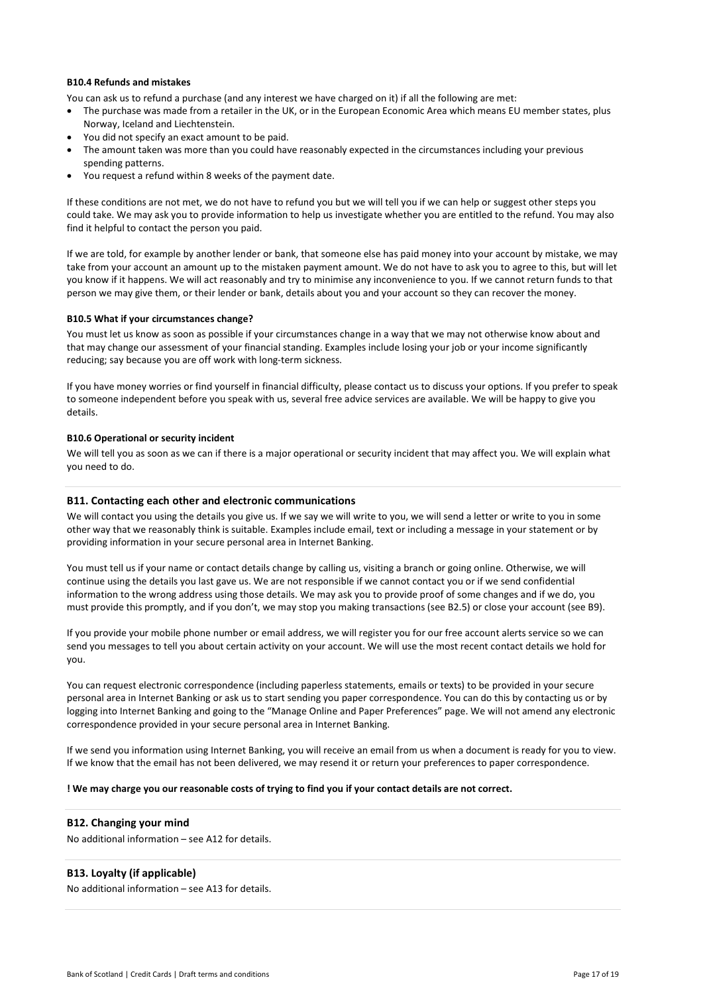#### B10.4 Refunds and mistakes

You can ask us to refund a purchase (and any interest we have charged on it) if all the following are met:

- The purchase was made from a retailer in the UK, or in the European Economic Area which means EU member states, plus Norway, Iceland and Liechtenstein.
- You did not specify an exact amount to be paid.
- The amount taken was more than you could have reasonably expected in the circumstances including your previous spending patterns.
- You request a refund within 8 weeks of the payment date.

If these conditions are not met, we do not have to refund you but we will tell you if we can help or suggest other steps you could take. We may ask you to provide information to help us investigate whether you are entitled to the refund. You may also find it helpful to contact the person you paid.

If we are told, for example by another lender or bank, that someone else has paid money into your account by mistake, we may take from your account an amount up to the mistaken payment amount. We do not have to ask you to agree to this, but will let you know if it happens. We will act reasonably and try to minimise any inconvenience to you. If we cannot return funds to that person we may give them, or their lender or bank, details about you and your account so they can recover the money.

## B10.5 What if your circumstances change?

You must let us know as soon as possible if your circumstances change in a way that we may not otherwise know about and that may change our assessment of your financial standing. Examples include losing your job or your income significantly reducing; say because you are off work with long-term sickness.

If you have money worries or find yourself in financial difficulty, please contact us to discuss your options. If you prefer to speak to someone independent before you speak with us, several free advice services are available. We will be happy to give you details.

## B10.6 Operational or security incident

We will tell you as soon as we can if there is a major operational or security incident that may affect you. We will explain what you need to do.

## B11. Contacting each other and electronic communications

We will contact you using the details you give us. If we say we will write to you, we will send a letter or write to you in some other way that we reasonably think is suitable. Examples include email, text or including a message in your statement or by providing information in your secure personal area in Internet Banking.

You must tell us if your name or contact details change by calling us, visiting a branch or going online. Otherwise, we will continue using the details you last gave us. We are not responsible if we cannot contact you or if we send confidential information to the wrong address using those details. We may ask you to provide proof of some changes and if we do, you must provide this promptly, and if you don't, we may stop you making transactions (see B2.5) or close your account (see B9).

If you provide your mobile phone number or email address, we will register you for our free account alerts service so we can send you messages to tell you about certain activity on your account. We will use the most recent contact details we hold for you.

You can request electronic correspondence (including paperless statements, emails or texts) to be provided in your secure personal area in Internet Banking or ask us to start sending you paper correspondence. You can do this by contacting us or by logging into Internet Banking and going to the "Manage Online and Paper Preferences" page. We will not amend any electronic correspondence provided in your secure personal area in Internet Banking.

If we send you information using Internet Banking, you will receive an email from us when a document is ready for you to view. If we know that the email has not been delivered, we may resend it or return your preferences to paper correspondence.

#### ! We may charge you our reasonable costs of trying to find you if your contact details are not correct.

## B12. Changing your mind

No additional information – see A12 for details.

## B13. Loyalty (if applicable)

No additional information – see A13 for details.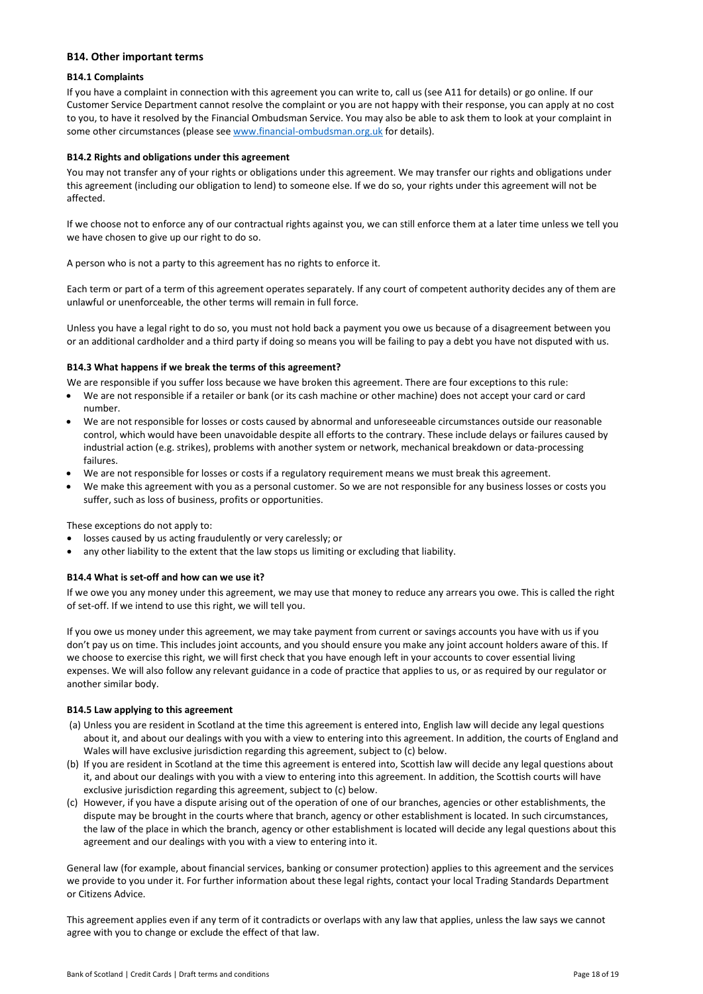## B14. Other important terms

## B14.1 Complaints

If you have a complaint in connection with this agreement you can write to, call us (see A11 for details) or go online. If our Customer Service Department cannot resolve the complaint or you are not happy with their response, you can apply at no cost to you, to have it resolved by the Financial Ombudsman Service. You may also be able to ask them to look at your complaint in some other circumstances (please see www.financial-ombudsman.org.uk for details).

## B14.2 Rights and obligations under this agreement

You may not transfer any of your rights or obligations under this agreement. We may transfer our rights and obligations under this agreement (including our obligation to lend) to someone else. If we do so, your rights under this agreement will not be affected.

If we choose not to enforce any of our contractual rights against you, we can still enforce them at a later time unless we tell you we have chosen to give up our right to do so.

A person who is not a party to this agreement has no rights to enforce it.

Each term or part of a term of this agreement operates separately. If any court of competent authority decides any of them are unlawful or unenforceable, the other terms will remain in full force.

Unless you have a legal right to do so, you must not hold back a payment you owe us because of a disagreement between you or an additional cardholder and a third party if doing so means you will be failing to pay a debt you have not disputed with us.

## B14.3 What happens if we break the terms of this agreement?

We are responsible if you suffer loss because we have broken this agreement. There are four exceptions to this rule:

- We are not responsible if a retailer or bank (or its cash machine or other machine) does not accept your card or card number.
- We are not responsible for losses or costs caused by abnormal and unforeseeable circumstances outside our reasonable control, which would have been unavoidable despite all efforts to the contrary. These include delays or failures caused by industrial action (e.g. strikes), problems with another system or network, mechanical breakdown or data-processing failures.
- We are not responsible for losses or costs if a regulatory requirement means we must break this agreement.
- We make this agreement with you as a personal customer. So we are not responsible for any business losses or costs you suffer, such as loss of business, profits or opportunities.

These exceptions do not apply to:

- losses caused by us acting fraudulently or very carelessly; or
- any other liability to the extent that the law stops us limiting or excluding that liability.

## B14.4 What is set-off and how can we use it?

If we owe you any money under this agreement, we may use that money to reduce any arrears you owe. This is called the right of set-off. If we intend to use this right, we will tell you.

If you owe us money under this agreement, we may take payment from current or savings accounts you have with us if you don't pay us on time. This includes joint accounts, and you should ensure you make any joint account holders aware of this. If we choose to exercise this right, we will first check that you have enough left in your accounts to cover essential living expenses. We will also follow any relevant guidance in a code of practice that applies to us, or as required by our regulator or another similar body.

#### B14.5 Law applying to this agreement

- (a) Unless you are resident in Scotland at the time this agreement is entered into, English law will decide any legal questions about it, and about our dealings with you with a view to entering into this agreement. In addition, the courts of England and Wales will have exclusive jurisdiction regarding this agreement, subject to (c) below.
- (b) If you are resident in Scotland at the time this agreement is entered into, Scottish law will decide any legal questions about it, and about our dealings with you with a view to entering into this agreement. In addition, the Scottish courts will have exclusive jurisdiction regarding this agreement, subject to (c) below.
- (c) However, if you have a dispute arising out of the operation of one of our branches, agencies or other establishments, the dispute may be brought in the courts where that branch, agency or other establishment is located. In such circumstances, the law of the place in which the branch, agency or other establishment is located will decide any legal questions about this agreement and our dealings with you with a view to entering into it.

General law (for example, about financial services, banking or consumer protection) applies to this agreement and the services we provide to you under it. For further information about these legal rights, contact your local Trading Standards Department or Citizens Advice.

This agreement applies even if any term of it contradicts or overlaps with any law that applies, unless the law says we cannot agree with you to change or exclude the effect of that law.